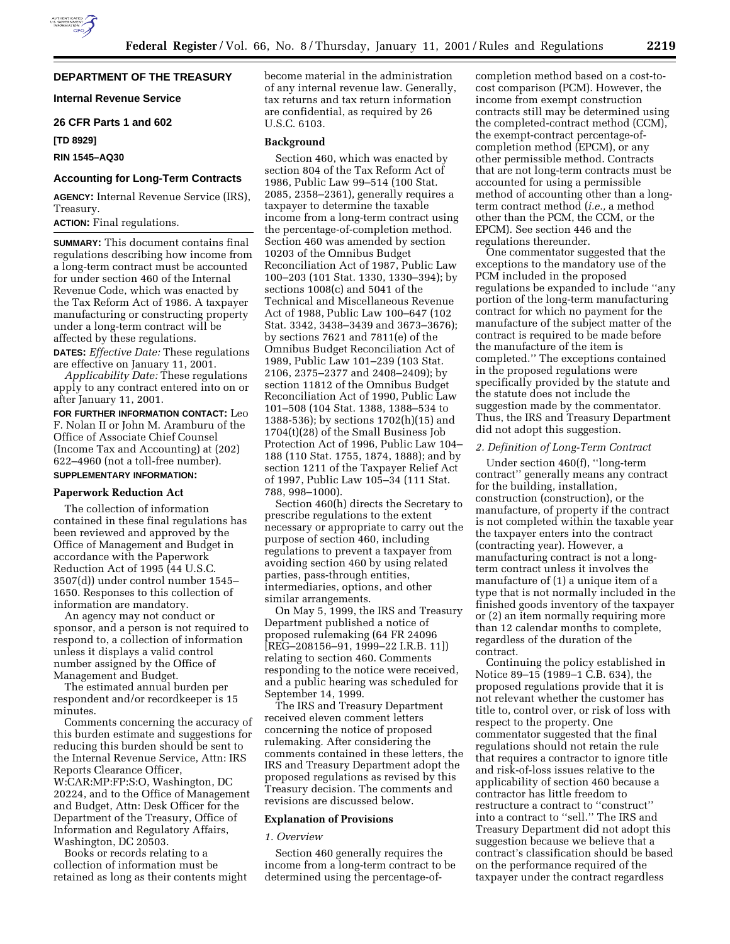# **DEPARTMENT OF THE TREASURY**

**Internal Revenue Service**

# **26 CFR Parts 1 and 602**

**[TD 8929]**

# **RIN 1545–AQ30**

# **Accounting for Long-Term Contracts**

**AGENCY:** Internal Revenue Service (IRS), Treasury.

**ACTION:** Final regulations.

**SUMMARY:** This document contains final regulations describing how income from a long-term contract must be accounted for under section 460 of the Internal Revenue Code, which was enacted by the Tax Reform Act of 1986. A taxpayer manufacturing or constructing property under a long-term contract will be affected by these regulations.

**DATES:** *Effective Date:* These regulations are effective on January 11, 2001.

*Applicability Date:* These regulations apply to any contract entered into on or after January 11, 2001.

**FOR FURTHER INFORMATION CONTACT:** Leo F. Nolan II or John M. Aramburu of the Office of Associate Chief Counsel (Income Tax and Accounting) at (202) 622–4960 (not a toll-free number). **SUPPLEMENTARY INFORMATION:**

# **Paperwork Reduction Act**

The collection of information contained in these final regulations has been reviewed and approved by the Office of Management and Budget in accordance with the Paperwork Reduction Act of 1995 (44 U.S.C. 3507(d)) under control number 1545– 1650. Responses to this collection of information are mandatory.

An agency may not conduct or sponsor, and a person is not required to respond to, a collection of information unless it displays a valid control number assigned by the Office of Management and Budget.

The estimated annual burden per respondent and/or recordkeeper is 15 minutes.

Comments concerning the accuracy of this burden estimate and suggestions for reducing this burden should be sent to the Internal Revenue Service, Attn: IRS Reports Clearance Officer, W:CAR:MP:FP:S:O, Washington, DC 20224, and to the Office of Management and Budget, Attn: Desk Officer for the Department of the Treasury, Office of Information and Regulatory Affairs, Washington, DC 20503.

Books or records relating to a collection of information must be retained as long as their contents might become material in the administration of any internal revenue law. Generally, tax returns and tax return information are confidential, as required by 26 U.S.C. 6103.

### **Background**

Section 460, which was enacted by section 804 of the Tax Reform Act of 1986, Public Law 99–514 (100 Stat. 2085, 2358–2361), generally requires a taxpayer to determine the taxable income from a long-term contract using the percentage-of-completion method. Section 460 was amended by section 10203 of the Omnibus Budget Reconciliation Act of 1987, Public Law 100–203 (101 Stat. 1330, 1330–394); by sections 1008(c) and 5041 of the Technical and Miscellaneous Revenue Act of 1988, Public Law 100–647 (102 Stat. 3342, 3438–3439 and 3673–3676); by sections 7621 and 7811(e) of the Omnibus Budget Reconciliation Act of 1989, Public Law 101–239 (103 Stat. 2106, 2375–2377 and 2408–2409); by section 11812 of the Omnibus Budget Reconciliation Act of 1990, Public Law 101–508 (104 Stat. 1388, 1388–534 to 1388-536); by sections 1702(h)(15) and 1704(t)(28) of the Small Business Job Protection Act of 1996, Public Law 104– 188 (110 Stat. 1755, 1874, 1888); and by section 1211 of the Taxpayer Relief Act of 1997, Public Law 105–34 (111 Stat. 788, 998–1000).

Section 460(h) directs the Secretary to prescribe regulations to the extent necessary or appropriate to carry out the purpose of section 460, including regulations to prevent a taxpayer from avoiding section 460 by using related parties, pass-through entities, intermediaries, options, and other similar arrangements.

On May 5, 1999, the IRS and Treasury Department published a notice of proposed rulemaking (64 FR 24096 [REG–208156–91, 1999–22 I.R.B. 11]) relating to section 460. Comments responding to the notice were received, and a public hearing was scheduled for September 14, 1999.

The IRS and Treasury Department received eleven comment letters concerning the notice of proposed rulemaking. After considering the comments contained in these letters, the IRS and Treasury Department adopt the proposed regulations as revised by this Treasury decision. The comments and revisions are discussed below.

### **Explanation of Provisions**

### *1. Overview*

Section 460 generally requires the income from a long-term contract to be determined using the percentage-ofcompletion method based on a cost-tocost comparison (PCM). However, the income from exempt construction contracts still may be determined using the completed-contract method (CCM), the exempt-contract percentage-ofcompletion method (EPCM), or any other permissible method. Contracts that are not long-term contracts must be accounted for using a permissible method of accounting other than a longterm contract method (*i.e.,* a method other than the PCM, the CCM, or the EPCM). See section 446 and the regulations thereunder.

One commentator suggested that the exceptions to the mandatory use of the PCM included in the proposed regulations be expanded to include ''any portion of the long-term manufacturing contract for which no payment for the manufacture of the subject matter of the contract is required to be made before the manufacture of the item is completed.'' The exceptions contained in the proposed regulations were specifically provided by the statute and the statute does not include the suggestion made by the commentator. Thus, the IRS and Treasury Department did not adopt this suggestion.

### *2. Definition of Long-Term Contract*

Under section 460(f), ''long-term contract'' generally means any contract for the building, installation, construction (construction), or the manufacture, of property if the contract is not completed within the taxable year the taxpayer enters into the contract (contracting year). However, a manufacturing contract is not a longterm contract unless it involves the manufacture of (1) a unique item of a type that is not normally included in the finished goods inventory of the taxpayer or (2) an item normally requiring more than 12 calendar months to complete, regardless of the duration of the contract.

Continuing the policy established in Notice 89–15 (1989–1 C.B. 634), the proposed regulations provide that it is not relevant whether the customer has title to, control over, or risk of loss with respect to the property. One commentator suggested that the final regulations should not retain the rule that requires a contractor to ignore title and risk-of-loss issues relative to the applicability of section 460 because a contractor has little freedom to restructure a contract to ''construct'' into a contract to ''sell.'' The IRS and Treasury Department did not adopt this suggestion because we believe that a contract's classification should be based on the performance required of the taxpayer under the contract regardless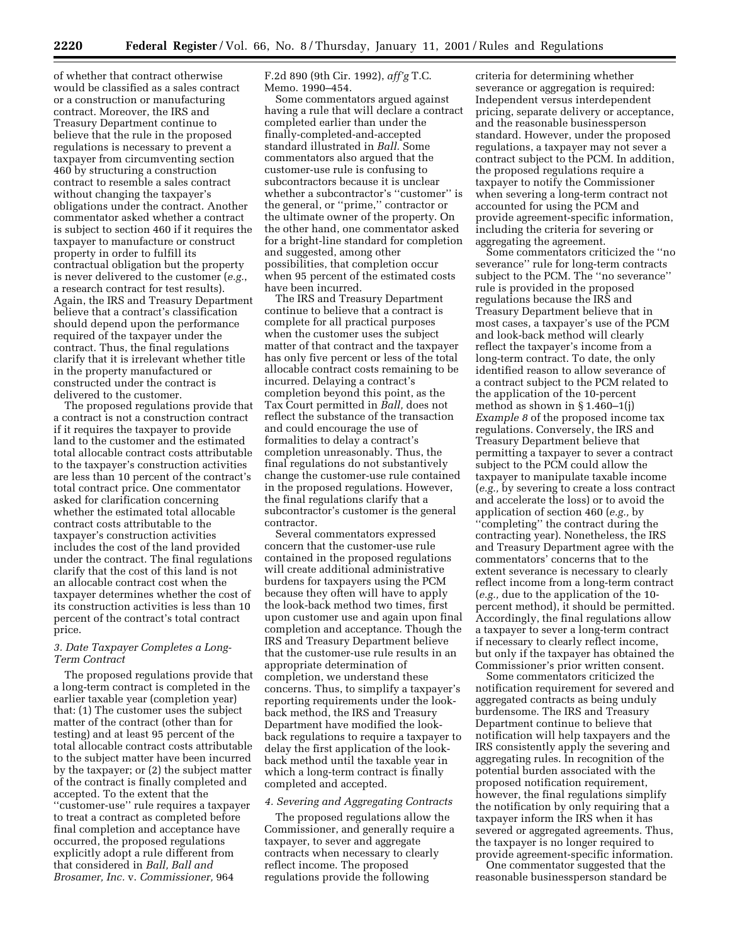of whether that contract otherwise would be classified as a sales contract or a construction or manufacturing contract. Moreover, the IRS and Treasury Department continue to believe that the rule in the proposed regulations is necessary to prevent a taxpayer from circumventing section 460 by structuring a construction contract to resemble a sales contract without changing the taxpayer's obligations under the contract. Another commentator asked whether a contract is subject to section 460 if it requires the taxpayer to manufacture or construct property in order to fulfill its contractual obligation but the property is never delivered to the customer (*e.g.*, a research contract for test results). Again, the IRS and Treasury Department believe that a contract's classification should depend upon the performance required of the taxpayer under the contract. Thus, the final regulations clarify that it is irrelevant whether title in the property manufactured or constructed under the contract is delivered to the customer.

The proposed regulations provide that a contract is not a construction contract if it requires the taxpayer to provide land to the customer and the estimated total allocable contract costs attributable to the taxpayer's construction activities are less than 10 percent of the contract's total contract price. One commentator asked for clarification concerning whether the estimated total allocable contract costs attributable to the taxpayer's construction activities includes the cost of the land provided under the contract. The final regulations clarify that the cost of this land is not an allocable contract cost when the taxpayer determines whether the cost of its construction activities is less than 10 percent of the contract's total contract price.

# *3. Date Taxpayer Completes a Long-Term Contract*

The proposed regulations provide that a long-term contract is completed in the earlier taxable year (completion year) that: (1) The customer uses the subject matter of the contract (other than for testing) and at least 95 percent of the total allocable contract costs attributable to the subject matter have been incurred by the taxpayer; or (2) the subject matter of the contract is finally completed and accepted. To the extent that the ''customer-use'' rule requires a taxpayer to treat a contract as completed before final completion and acceptance have occurred, the proposed regulations explicitly adopt a rule different from that considered in *Ball, Ball and Brosamer, Inc.* v. *Commissioner,* 964

F.2d 890 (9th Cir. 1992), *aff'g* T.C. Memo. 1990–454.

Some commentators argued against having a rule that will declare a contract completed earlier than under the finally-completed-and-accepted standard illustrated in *Ball.* Some commentators also argued that the customer-use rule is confusing to subcontractors because it is unclear whether a subcontractor's ''customer'' is the general, or ''prime,'' contractor or the ultimate owner of the property. On the other hand, one commentator asked for a bright-line standard for completion and suggested, among other possibilities, that completion occur when 95 percent of the estimated costs have been incurred.

The IRS and Treasury Department continue to believe that a contract is complete for all practical purposes when the customer uses the subject matter of that contract and the taxpayer has only five percent or less of the total allocable contract costs remaining to be incurred. Delaying a contract's completion beyond this point, as the Tax Court permitted in *Ball,* does not reflect the substance of the transaction and could encourage the use of formalities to delay a contract's completion unreasonably. Thus, the final regulations do not substantively change the customer-use rule contained in the proposed regulations. However, the final regulations clarify that a subcontractor's customer is the general contractor.

Several commentators expressed concern that the customer-use rule contained in the proposed regulations will create additional administrative burdens for taxpayers using the PCM because they often will have to apply the look-back method two times, first upon customer use and again upon final completion and acceptance. Though the IRS and Treasury Department believe that the customer-use rule results in an appropriate determination of completion, we understand these concerns. Thus, to simplify a taxpayer's reporting requirements under the lookback method, the IRS and Treasury Department have modified the lookback regulations to require a taxpayer to delay the first application of the lookback method until the taxable year in which a long-term contract is finally completed and accepted.

### *4. Severing and Aggregating Contracts*

The proposed regulations allow the Commissioner, and generally require a taxpayer, to sever and aggregate contracts when necessary to clearly reflect income. The proposed regulations provide the following

criteria for determining whether severance or aggregation is required: Independent versus interdependent pricing, separate delivery or acceptance, and the reasonable businessperson standard. However, under the proposed regulations, a taxpayer may not sever a contract subject to the PCM. In addition, the proposed regulations require a taxpayer to notify the Commissioner when severing a long-term contract not accounted for using the PCM and provide agreement-specific information, including the criteria for severing or aggregating the agreement.

Some commentators criticized the ''no severance'' rule for long-term contracts subject to the PCM. The ''no severance'' rule is provided in the proposed regulations because the IRS and Treasury Department believe that in most cases, a taxpayer's use of the PCM and look-back method will clearly reflect the taxpayer's income from a long-term contract. To date, the only identified reason to allow severance of a contract subject to the PCM related to the application of the 10-percent method as shown in § 1.460–1(j) *Example 8* of the proposed income tax regulations. Conversely, the IRS and Treasury Department believe that permitting a taxpayer to sever a contract subject to the PCM could allow the taxpayer to manipulate taxable income (*e.g.,* by severing to create a loss contract and accelerate the loss) or to avoid the application of section 460 (*e.g.,* by ''completing'' the contract during the contracting year). Nonetheless, the IRS and Treasury Department agree with the commentators' concerns that to the extent severance is necessary to clearly reflect income from a long-term contract (*e.g.,* due to the application of the 10 percent method), it should be permitted. Accordingly, the final regulations allow a taxpayer to sever a long-term contract if necessary to clearly reflect income, but only if the taxpayer has obtained the Commissioner's prior written consent.

Some commentators criticized the notification requirement for severed and aggregated contracts as being unduly burdensome. The IRS and Treasury Department continue to believe that notification will help taxpayers and the IRS consistently apply the severing and aggregating rules. In recognition of the potential burden associated with the proposed notification requirement, however, the final regulations simplify the notification by only requiring that a taxpayer inform the IRS when it has severed or aggregated agreements. Thus, the taxpayer is no longer required to provide agreement-specific information.

One commentator suggested that the reasonable businessperson standard be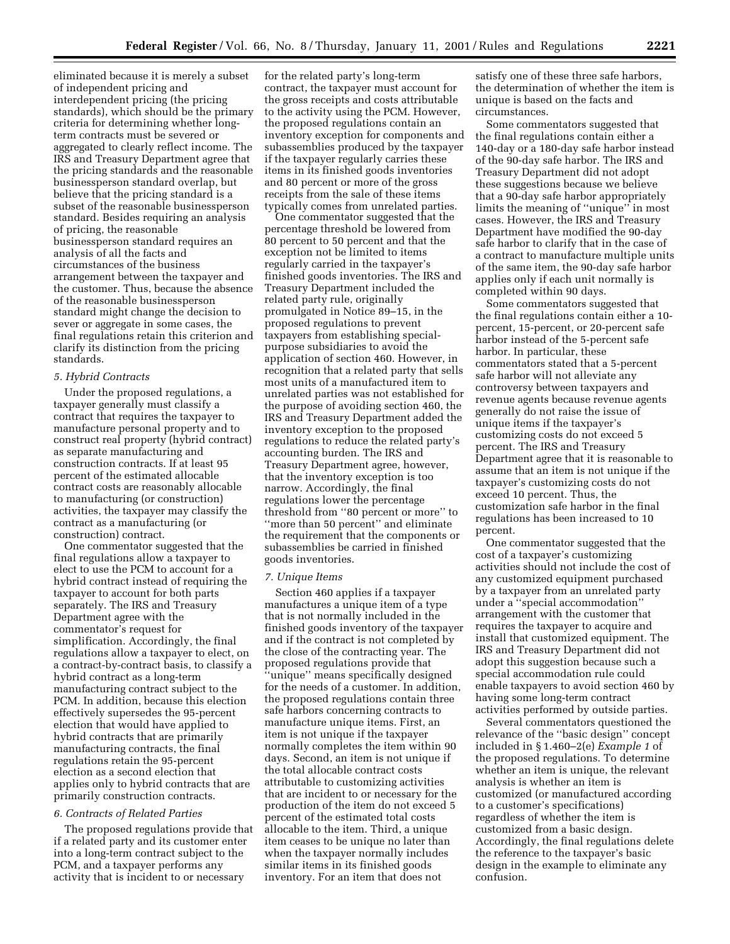eliminated because it is merely a subset of independent pricing and interdependent pricing (the pricing standards), which should be the primary criteria for determining whether longterm contracts must be severed or aggregated to clearly reflect income. The IRS and Treasury Department agree that the pricing standards and the reasonable businessperson standard overlap, but believe that the pricing standard is a subset of the reasonable businessperson standard. Besides requiring an analysis of pricing, the reasonable businessperson standard requires an analysis of all the facts and circumstances of the business arrangement between the taxpayer and the customer. Thus, because the absence of the reasonable businessperson standard might change the decision to sever or aggregate in some cases, the final regulations retain this criterion and clarify its distinction from the pricing standards.

#### *5. Hybrid Contracts*

Under the proposed regulations, a taxpayer generally must classify a contract that requires the taxpayer to manufacture personal property and to construct real property (hybrid contract) as separate manufacturing and construction contracts. If at least 95 percent of the estimated allocable contract costs are reasonably allocable to manufacturing (or construction) activities, the taxpayer may classify the contract as a manufacturing (or construction) contract.

One commentator suggested that the final regulations allow a taxpayer to elect to use the PCM to account for a hybrid contract instead of requiring the taxpayer to account for both parts separately. The IRS and Treasury Department agree with the commentator's request for simplification. Accordingly, the final regulations allow a taxpayer to elect, on a contract-by-contract basis, to classify a hybrid contract as a long-term manufacturing contract subject to the PCM. In addition, because this election effectively supersedes the 95-percent election that would have applied to hybrid contracts that are primarily manufacturing contracts, the final regulations retain the 95-percent election as a second election that applies only to hybrid contracts that are primarily construction contracts.

### *6. Contracts of Related Parties*

The proposed regulations provide that if a related party and its customer enter into a long-term contract subject to the PCM, and a taxpayer performs any activity that is incident to or necessary

for the related party's long-term contract, the taxpayer must account for the gross receipts and costs attributable to the activity using the PCM. However, the proposed regulations contain an inventory exception for components and subassemblies produced by the taxpayer if the taxpayer regularly carries these items in its finished goods inventories and 80 percent or more of the gross receipts from the sale of these items typically comes from unrelated parties.

One commentator suggested that the percentage threshold be lowered from 80 percent to 50 percent and that the exception not be limited to items regularly carried in the taxpayer's finished goods inventories. The IRS and Treasury Department included the related party rule, originally promulgated in Notice 89–15, in the proposed regulations to prevent taxpayers from establishing specialpurpose subsidiaries to avoid the application of section 460. However, in recognition that a related party that sells most units of a manufactured item to unrelated parties was not established for the purpose of avoiding section 460, the IRS and Treasury Department added the inventory exception to the proposed regulations to reduce the related party's accounting burden. The IRS and Treasury Department agree, however, that the inventory exception is too narrow. Accordingly, the final regulations lower the percentage threshold from ''80 percent or more'' to ''more than 50 percent'' and eliminate the requirement that the components or subassemblies be carried in finished goods inventories.

### *7. Unique Items*

Section 460 applies if a taxpayer manufactures a unique item of a type that is not normally included in the finished goods inventory of the taxpayer and if the contract is not completed by the close of the contracting year. The proposed regulations provide that ''unique'' means specifically designed for the needs of a customer. In addition, the proposed regulations contain three safe harbors concerning contracts to manufacture unique items. First, an item is not unique if the taxpayer normally completes the item within 90 days. Second, an item is not unique if the total allocable contract costs attributable to customizing activities that are incident to or necessary for the production of the item do not exceed 5 percent of the estimated total costs allocable to the item. Third, a unique item ceases to be unique no later than when the taxpayer normally includes similar items in its finished goods inventory. For an item that does not

satisfy one of these three safe harbors, the determination of whether the item is unique is based on the facts and circumstances.

Some commentators suggested that the final regulations contain either a 140-day or a 180-day safe harbor instead of the 90-day safe harbor. The IRS and Treasury Department did not adopt these suggestions because we believe that a 90-day safe harbor appropriately limits the meaning of ''unique'' in most cases. However, the IRS and Treasury Department have modified the 90-day safe harbor to clarify that in the case of a contract to manufacture multiple units of the same item, the 90-day safe harbor applies only if each unit normally is completed within 90 days.

Some commentators suggested that the final regulations contain either a 10 percent, 15-percent, or 20-percent safe harbor instead of the 5-percent safe harbor. In particular, these commentators stated that a 5-percent safe harbor will not alleviate any controversy between taxpayers and revenue agents because revenue agents generally do not raise the issue of unique items if the taxpayer's customizing costs do not exceed 5 percent. The IRS and Treasury Department agree that it is reasonable to assume that an item is not unique if the taxpayer's customizing costs do not exceed 10 percent. Thus, the customization safe harbor in the final regulations has been increased to 10 percent.

One commentator suggested that the cost of a taxpayer's customizing activities should not include the cost of any customized equipment purchased by a taxpayer from an unrelated party under a ''special accommodation'' arrangement with the customer that requires the taxpayer to acquire and install that customized equipment. The IRS and Treasury Department did not adopt this suggestion because such a special accommodation rule could enable taxpayers to avoid section 460 by having some long-term contract activities performed by outside parties.

Several commentators questioned the relevance of the ''basic design'' concept included in § 1.460–2(e) *Example 1* of the proposed regulations. To determine whether an item is unique, the relevant analysis is whether an item is customized (or manufactured according to a customer's specifications) regardless of whether the item is customized from a basic design. Accordingly, the final regulations delete the reference to the taxpayer's basic design in the example to eliminate any confusion.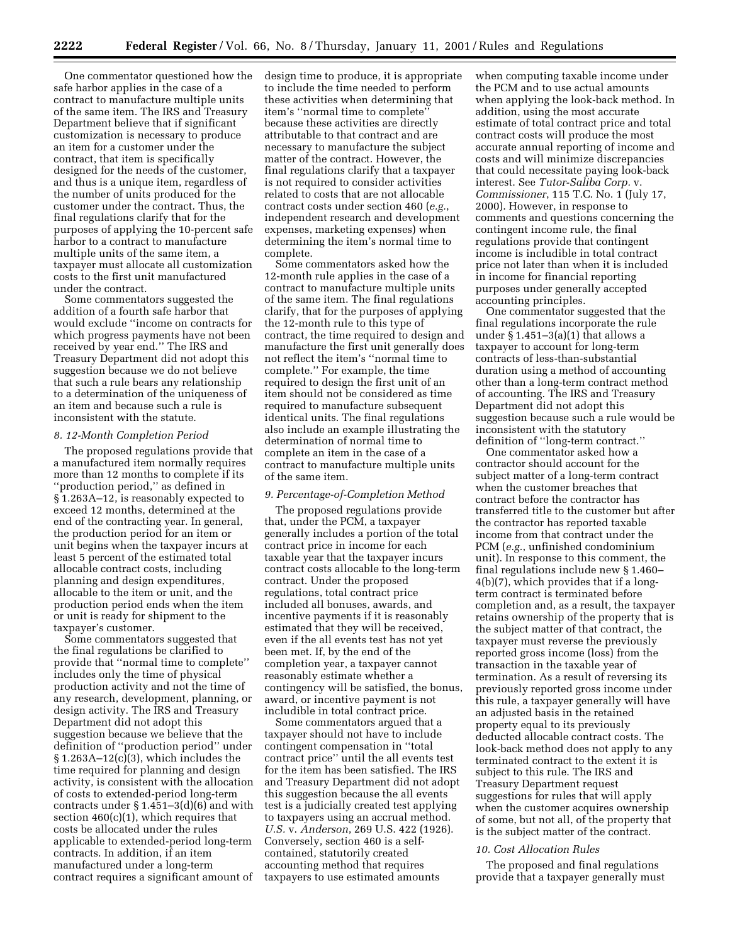One commentator questioned how the safe harbor applies in the case of a contract to manufacture multiple units of the same item. The IRS and Treasury Department believe that if significant customization is necessary to produce an item for a customer under the contract, that item is specifically designed for the needs of the customer, and thus is a unique item, regardless of the number of units produced for the customer under the contract. Thus, the final regulations clarify that for the purposes of applying the 10-percent safe harbor to a contract to manufacture multiple units of the same item, a taxpayer must allocate all customization costs to the first unit manufactured under the contract.

Some commentators suggested the addition of a fourth safe harbor that would exclude ''income on contracts for which progress payments have not been received by year end.'' The IRS and Treasury Department did not adopt this suggestion because we do not believe that such a rule bears any relationship to a determination of the uniqueness of an item and because such a rule is inconsistent with the statute.

#### *8. 12-Month Completion Period*

The proposed regulations provide that a manufactured item normally requires more than 12 months to complete if its ''production period,'' as defined in § 1.263A–12, is reasonably expected to exceed 12 months, determined at the end of the contracting year. In general, the production period for an item or unit begins when the taxpayer incurs at least 5 percent of the estimated total allocable contract costs, including planning and design expenditures, allocable to the item or unit, and the production period ends when the item or unit is ready for shipment to the taxpayer's customer.

Some commentators suggested that the final regulations be clarified to provide that ''normal time to complete'' includes only the time of physical production activity and not the time of any research, development, planning, or design activity. The IRS and Treasury Department did not adopt this suggestion because we believe that the definition of ''production period'' under § 1.263A–12(c)(3), which includes the time required for planning and design activity, is consistent with the allocation of costs to extended-period long-term contracts under § 1.451–3(d)(6) and with section  $460(c)(1)$ , which requires that costs be allocated under the rules applicable to extended-period long-term contracts. In addition, if an item manufactured under a long-term contract requires a significant amount of design time to produce, it is appropriate to include the time needed to perform these activities when determining that item's ''normal time to complete'' because these activities are directly attributable to that contract and are necessary to manufacture the subject matter of the contract. However, the final regulations clarify that a taxpayer is not required to consider activities related to costs that are not allocable contract costs under section 460 (*e.g.*, independent research and development expenses, marketing expenses) when determining the item's normal time to complete.

Some commentators asked how the 12-month rule applies in the case of a contract to manufacture multiple units of the same item. The final regulations clarify, that for the purposes of applying the 12-month rule to this type of contract, the time required to design and manufacture the first unit generally does not reflect the item's ''normal time to complete.'' For example, the time required to design the first unit of an item should not be considered as time required to manufacture subsequent identical units. The final regulations also include an example illustrating the determination of normal time to complete an item in the case of a contract to manufacture multiple units of the same item.

# *9. Percentage-of-Completion Method*

The proposed regulations provide that, under the PCM, a taxpayer generally includes a portion of the total contract price in income for each taxable year that the taxpayer incurs contract costs allocable to the long-term contract. Under the proposed regulations, total contract price included all bonuses, awards, and incentive payments if it is reasonably estimated that they will be received, even if the all events test has not yet been met. If, by the end of the completion year, a taxpayer cannot reasonably estimate whether a contingency will be satisfied, the bonus, award, or incentive payment is not includible in total contract price.

Some commentators argued that a taxpayer should not have to include contingent compensation in ''total contract price'' until the all events test for the item has been satisfied. The IRS and Treasury Department did not adopt this suggestion because the all events test is a judicially created test applying to taxpayers using an accrual method. *U.S.* v. *Anderson*, 269 U.S. 422 (1926). Conversely, section 460 is a selfcontained, statutorily created accounting method that requires taxpayers to use estimated amounts

when computing taxable income under the PCM and to use actual amounts when applying the look-back method. In addition, using the most accurate estimate of total contract price and total contract costs will produce the most accurate annual reporting of income and costs and will minimize discrepancies that could necessitate paying look-back interest. See *Tutor-Saliba Corp.* v. *Commissioner*, 115 T.C. No. 1 (July 17, 2000). However, in response to comments and questions concerning the contingent income rule, the final regulations provide that contingent income is includible in total contract price not later than when it is included in income for financial reporting purposes under generally accepted accounting principles.

One commentator suggested that the final regulations incorporate the rule under  $\S 1.451-3(a)(1)$  that allows a taxpayer to account for long-term contracts of less-than-substantial duration using a method of accounting other than a long-term contract method of accounting. The IRS and Treasury Department did not adopt this suggestion because such a rule would be inconsistent with the statutory definition of ''long-term contract.''

One commentator asked how a contractor should account for the subject matter of a long-term contract when the customer breaches that contract before the contractor has transferred title to the customer but after the contractor has reported taxable income from that contract under the PCM (*e.g.*, unfinished condominium unit). In response to this comment, the final regulations include new § 1.460– 4(b)(7), which provides that if a longterm contract is terminated before completion and, as a result, the taxpayer retains ownership of the property that is the subject matter of that contract, the taxpayer must reverse the previously reported gross income (loss) from the transaction in the taxable year of termination. As a result of reversing its previously reported gross income under this rule, a taxpayer generally will have an adjusted basis in the retained property equal to its previously deducted allocable contract costs. The look-back method does not apply to any terminated contract to the extent it is subject to this rule. The IRS and Treasury Department request suggestions for rules that will apply when the customer acquires ownership of some, but not all, of the property that is the subject matter of the contract.

### *10. Cost Allocation Rules*

The proposed and final regulations provide that a taxpayer generally must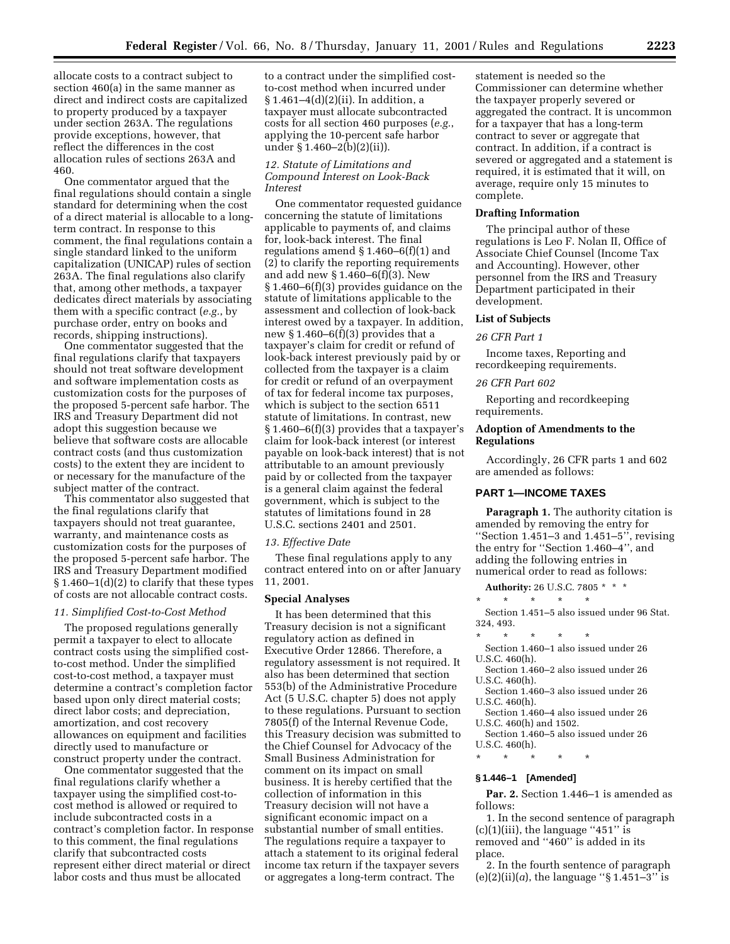allocate costs to a contract subject to section 460(a) in the same manner as direct and indirect costs are capitalized to property produced by a taxpayer under section 263A. The regulations provide exceptions, however, that reflect the differences in the cost allocation rules of sections 263A and 460.

One commentator argued that the final regulations should contain a single standard for determining when the cost of a direct material is allocable to a longterm contract. In response to this comment, the final regulations contain a single standard linked to the uniform capitalization (UNICAP) rules of section 263A. The final regulations also clarify that, among other methods, a taxpayer dedicates direct materials by associating them with a specific contract (*e.g.*, by purchase order, entry on books and records, shipping instructions).

One commentator suggested that the final regulations clarify that taxpayers should not treat software development and software implementation costs as customization costs for the purposes of the proposed 5-percent safe harbor. The IRS and Treasury Department did not adopt this suggestion because we believe that software costs are allocable contract costs (and thus customization costs) to the extent they are incident to or necessary for the manufacture of the subject matter of the contract.

This commentator also suggested that the final regulations clarify that taxpayers should not treat guarantee, warranty, and maintenance costs as customization costs for the purposes of the proposed 5-percent safe harbor. The IRS and Treasury Department modified § 1.460–1(d)(2) to clarify that these types of costs are not allocable contract costs.

#### *11. Simplified Cost-to-Cost Method*

The proposed regulations generally permit a taxpayer to elect to allocate contract costs using the simplified costto-cost method. Under the simplified cost-to-cost method, a taxpayer must determine a contract's completion factor based upon only direct material costs; direct labor costs; and depreciation, amortization, and cost recovery allowances on equipment and facilities directly used to manufacture or construct property under the contract.

One commentator suggested that the final regulations clarify whether a taxpayer using the simplified cost-tocost method is allowed or required to include subcontracted costs in a contract's completion factor. In response to this comment, the final regulations clarify that subcontracted costs represent either direct material or direct labor costs and thus must be allocated

to a contract under the simplified costto-cost method when incurred under § 1.461–4(d)(2)(ii). In addition, a taxpayer must allocate subcontracted costs for all section 460 purposes (*e.g.*, applying the 10-percent safe harbor under § 1.460–2(b)(2)(ii)).

# *12. Statute of Limitations and Compound Interest on Look-Back Interest*

One commentator requested guidance concerning the statute of limitations applicable to payments of, and claims for, look-back interest. The final regulations amend § 1.460–6(f)(1) and (2) to clarify the reporting requirements and add new § 1.460–6(f)(3). New § 1.460–6(f)(3) provides guidance on the statute of limitations applicable to the assessment and collection of look-back interest owed by a taxpayer. In addition, new  $§ 1.460-6(f)(3)$  provides that a taxpayer's claim for credit or refund of look-back interest previously paid by or collected from the taxpayer is a claim for credit or refund of an overpayment of tax for federal income tax purposes, which is subject to the section 6511 statute of limitations. In contrast, new § 1.460–6(f)(3) provides that a taxpayer's claim for look-back interest (or interest payable on look-back interest) that is not attributable to an amount previously paid by or collected from the taxpayer is a general claim against the federal government, which is subject to the statutes of limitations found in 28 U.S.C. sections 2401 and 2501.

#### *13. Effective Date*

These final regulations apply to any contract entered into on or after January 11, 2001.

# **Special Analyses**

It has been determined that this Treasury decision is not a significant regulatory action as defined in Executive Order 12866. Therefore, a regulatory assessment is not required. It also has been determined that section 553(b) of the Administrative Procedure Act (5 U.S.C. chapter 5) does not apply to these regulations. Pursuant to section 7805(f) of the Internal Revenue Code, this Treasury decision was submitted to the Chief Counsel for Advocacy of the Small Business Administration for comment on its impact on small business. It is hereby certified that the collection of information in this Treasury decision will not have a significant economic impact on a substantial number of small entities. The regulations require a taxpayer to attach a statement to its original federal income tax return if the taxpayer severs or aggregates a long-term contract. The

statement is needed so the Commissioner can determine whether the taxpayer properly severed or aggregated the contract. It is uncommon for a taxpayer that has a long-term contract to sever or aggregate that contract. In addition, if a contract is severed or aggregated and a statement is required, it is estimated that it will, on average, require only 15 minutes to complete.

### **Drafting Information**

The principal author of these regulations is Leo F. Nolan II, Office of Associate Chief Counsel (Income Tax and Accounting). However, other personnel from the IRS and Treasury Department participated in their development.

### **List of Subjects**

#### *26 CFR Part 1*

Income taxes, Reporting and recordkeeping requirements.

#### *26 CFR Part 602*

Reporting and recordkeeping requirements.

### **Adoption of Amendments to the Regulations**

Accordingly, 26 CFR parts 1 and 602 are amended as follows:

### **PART 1—INCOME TAXES**

**Paragraph 1.** The authority citation is amended by removing the entry for ''Section 1.451–3 and 1.451–5'', revising the entry for ''Section 1.460–4'', and adding the following entries in numerical order to read as follows:

**Authority:** 26 U.S.C. 7805 \* \* \*

\* \* \* \* \*

Section 1.451–5 also issued under 96 Stat. 324, 493.

\* \* \* \* \* Section 1.460–1 also issued under 26 U.S.C. 460(h).

Section 1.460–2 also issued under 26 U.S.C. 460(h).

Section 1.460–3 also issued under 26 U.S.C. 460(h).

Section 1.460–4 also issued under 26 U.S.C. 460(h) and 1502.

Section 1.460–5 also issued under 26 U.S.C. 460(h).

\* \* \* \* \*

# **§ 1.446–1 [Amended]**

**Par. 2.** Section 1.446–1 is amended as follows:

1. In the second sentence of paragraph  $(c)(1)(iii)$ , the language "451" is removed and ''460'' is added in its place.

2. In the fourth sentence of paragraph  $(e)(2)(ii)(a)$ , the language "§ 1.451–3" is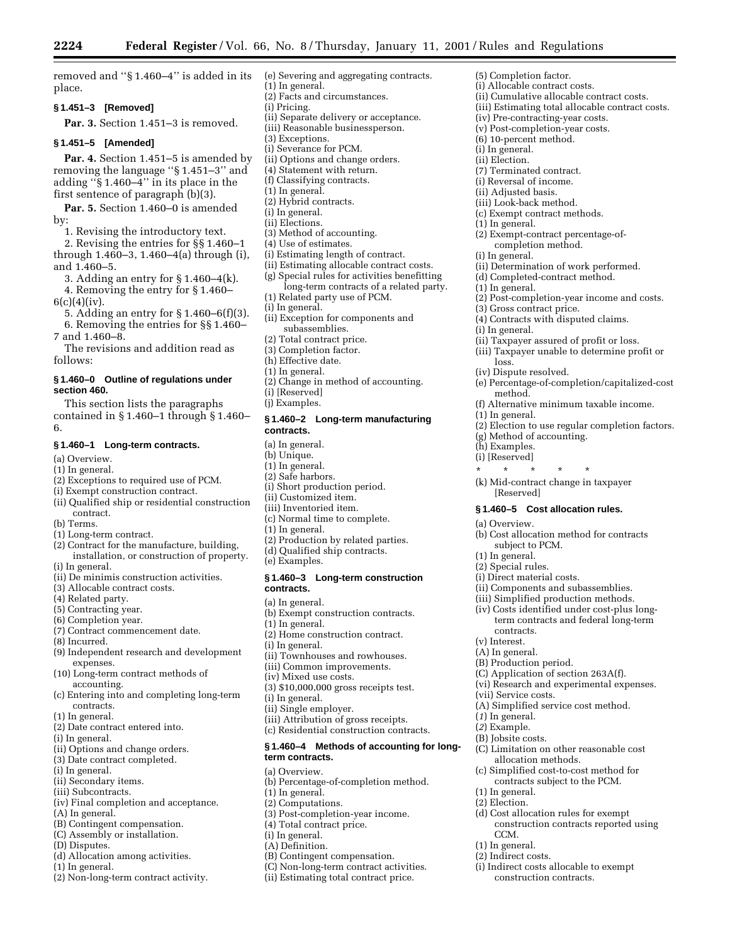(5) Completion factor. (i) Allocable contract costs.

(ii) Cumulative allocable contract costs. (iii) Estimating total allocable contract costs.

(iv) Pre-contracting-year costs. (v) Post-completion-year costs. (6) 10-percent method. (i) In general. (ii) Election.

(2) Exempt-contract percentage-ofcompletion method.

(ii) Determination of work performed. (d) Completed-contract method.

(4) Contracts with disputed claims.

(ii) Taxpayer assured of profit or loss. (iii) Taxpayer unable to determine profit or

(2) Post-completion-year income and costs.

(e) Percentage-of-completion/capitalized-cost

(2) Election to use regular completion factors.

(f) Alternative minimum taxable income.

(7) Terminated contract. (i) Reversal of income. (ii) Adjusted basis. (iii) Look-back method. (c) Exempt contract methods.

(1) In general.

(i) In general.

(1) In general.

(i) In general.

loss. (iv) Dispute resolved.

method.

(g) Method of accounting.

\* \* \* \* \* (k) Mid-contract change in taxpayer

subject to PCM.

**§ 1.460–5 Cost allocation rules.**

(b) Cost allocation method for contracts

(ii) Components and subassemblies. (iii) Simplified production methods. (iv) Costs identified under cost-plus longterm contracts and federal long-term

(C) Application of section 263A(f). (vi) Research and experimental expenses.

(A) Simplified service cost method.

(C) Limitation on other reasonable cost

(c) Simplified cost-to-cost method for contracts subject to the PCM.

(d) Cost allocation rules for exempt

(i) Indirect costs allocable to exempt construction contracts.

construction contracts reported using

allocation methods.

[Reserved]

(1) In general.

(h) Examples. (i) [Reserved]

(a) Overview.

(1) In general. (2) Special rules. (i) Direct material costs.

contracts. (v) Interest. (A) In general. (B) Production period.

(vii) Service costs.

(*1*) In general. (*2*) Example. (B) Jobsite costs.

(1) In general. (2) Election.

CCM. (1) In general. (2) Indirect costs.

(3) Gross contract price.

removed and ''§ 1.460–4'' is added in its place.

# **§ 1.451–3 [Removed]**

**Par. 3.** Section 1.451–3 is removed.

## **§ 1.451–5 [Amended]**

**Par. 4.** Section 1.451–5 is amended by removing the language ''§ 1.451–3'' and adding ''§ 1.460–4'' in its place in the first sentence of paragraph (b)(3).

**Par. 5.** Section 1.460–0 is amended by:

1. Revising the introductory text.

2. Revising the entries for §§ 1.460–1 through 1.460–3, 1.460–4(a) through (i), and 1.460–5.

3. Adding an entry for § 1.460–4(k).

4. Removing the entry for § 1.460–  $6(c)(4)(iv)$ .

5. Adding an entry for § 1.460–6(f)(3).

6. Removing the entries for §§ 1.460–

7 and 1.460–8.

The revisions and addition read as follows:

## **§ 1.460–0 Outline of regulations under section 460.**

This section lists the paragraphs contained in § 1.460–1 through § 1.460– 6.

### **§ 1.460–1 Long-term contracts.**

- (a) Overview.
- (1) In general.
- (2) Exceptions to required use of PCM.
- (i) Exempt construction contract.
- (ii) Qualified ship or residential construction contract.
- (b) Terms.
- (1) Long-term contract.
- (2) Contract for the manufacture, building, installation, or construction of property. (i) In general.
- 
- (ii) De minimis construction activities.
- (3) Allocable contract costs.
- (4) Related party.
- (5) Contracting year.
- (6) Completion year.
- (7) Contract commencement date.
- (8) Incurred.
- (9) Independent research and development expenses.
- (10) Long-term contract methods of accounting.
- (c) Entering into and completing long-term contracts.
- (1) In general.
- (2) Date contract entered into.
- (i) In general.
- (ii) Options and change orders.
- (3) Date contract completed.
- (i) In general.
- (ii) Secondary items.
- (iii) Subcontracts.
- (iv) Final completion and acceptance.
- (A) In general.
- (B) Contingent compensation.
- (C) Assembly or installation.
- (D) Disputes.
- (d) Allocation among activities.
- (1) In general.
- (2) Non-long-term contract activity.
- (e) Severing and aggregating contracts.
- (1) In general. (2) Facts and circumstances.
- (i) Pricing.
- (ii) Separate delivery or acceptance.
- (iii) Reasonable businessperson.
- (3) Exceptions.
- (i) Severance for PCM.
- (ii) Options and change orders.
- (4) Statement with return.
- (f) Classifying contracts.
- (1) In general.
- (2) Hybrid contracts.
- (i) In general.
- (ii) Elections.
- (3) Method of accounting.
- (4) Use of estimates.
- (i) Estimating length of contract.
- (ii) Estimating allocable contract costs.
- (g) Special rules for activities benefitting long-term contracts of a related party.
- (1) Related party use of PCM.
- (i) In general.
- (ii) Exception for components and subassemblies.
- Total contract price.
- (3) Completion factor.
- (h) Effective date.
- (1) In general.
- (2) Change in method of accounting.
- (i) [Reserved]
- (j) Examples.

# **§ 1.460–2 Long-term manufacturing contracts.**

- (a) In general.
- (b) Unique.
- (1) In general.
- (2) Safe harbors.
- (i) Short production period.
- (ii) Customized item.
- (iii) Inventoried item.
- (c) Normal time to complete.
- (1) In general.
- (2) Production by related parties.
- (d) Qualified ship contracts.
- (e) Examples.

### **§ 1.460–3 Long-term construction contracts.**

- (a) In general.
- (b) Exempt construction contracts.

(ii) Townhouses and rowhouses. (iii) Common improvements. (iv) Mixed use costs.

(3) \$10,000,000 gross receipts test.

(iii) Attribution of gross receipts. (c) Residential construction contracts. **§ 1.460–4 Methods of accounting for long-**

(b) Percentage-of-completion method.

(3) Post-completion-year income. (4) Total contract price.

(B) Contingent compensation. (C) Non-long-term contract activities. (ii) Estimating total contract price.

(1) In general. (2) Home construction contract. (i) In general.

(i) In general. (ii) Single employer.

**term contracts.** (a) Overview.

(1) In general. (2) Computations.

(i) In general. (A) Definition.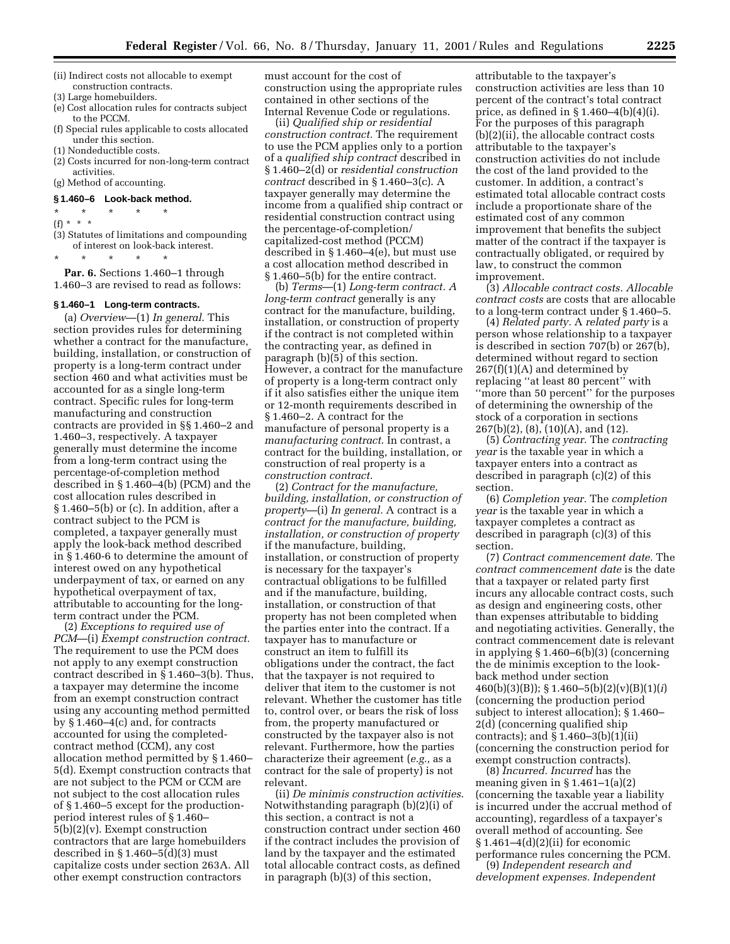- (ii) Indirect costs not allocable to exempt construction contracts.
- (3) Large homebuilders.
- (e) Cost allocation rules for contracts subject to the PCCM.
- (f) Special rules applicable to costs allocated under this section.
- (1) Nondeductible costs.
- (2) Costs incurred for non-long-term contract activities.
- (g) Method of accounting.

# **§ 1.460–6 Look-back method.**

- \* \* \* \* \*
- (f) \* \* \*
- (3) Statutes of limitations and compounding of interest on look-back interest.

\* \* \* \* \*

Par. 6. Sections 1.460-1 through 1.460–3 are revised to read as follows:

#### **§ 1.460–1 Long-term contracts.**

(a) *Overview*—(1) *In general*. This section provides rules for determining whether a contract for the manufacture, building, installation, or construction of property is a long-term contract under section 460 and what activities must be accounted for as a single long-term contract. Specific rules for long-term manufacturing and construction contracts are provided in §§ 1.460–2 and 1.460–3, respectively. A taxpayer generally must determine the income from a long-term contract using the percentage-of-completion method described in § 1.460–4(b) (PCM) and the cost allocation rules described in § 1.460–5(b) or (c). In addition, after a contract subject to the PCM is completed, a taxpayer generally must apply the look-back method described in § 1.460-6 to determine the amount of interest owed on any hypothetical underpayment of tax, or earned on any hypothetical overpayment of tax, attributable to accounting for the longterm contract under the PCM.

(2) *Exceptions to required use of PCM*—(i) *Exempt construction contract.* The requirement to use the PCM does not apply to any exempt construction contract described in § 1.460–3(b). Thus, a taxpayer may determine the income from an exempt construction contract using any accounting method permitted by § 1.460–4(c) and, for contracts accounted for using the completedcontract method (CCM), any cost allocation method permitted by § 1.460– 5(d). Exempt construction contracts that are not subject to the PCM or CCM are not subject to the cost allocation rules of § 1.460–5 except for the productionperiod interest rules of § 1.460– 5(b)(2)(v). Exempt construction contractors that are large homebuilders described in  $\S 1.460 - 5(d)(3)$  must capitalize costs under section 263A. All other exempt construction contractors

must account for the cost of construction using the appropriate rules contained in other sections of the Internal Revenue Code or regulations.

(ii) *Qualified ship or residential construction contract.* The requirement to use the PCM applies only to a portion of a *qualified ship contract* described in § 1.460–2(d) or *residential construction contract* described in § 1.460–3(c). A taxpayer generally may determine the income from a qualified ship contract or residential construction contract using the percentage-of-completion/ capitalized-cost method (PCCM) described in § 1.460–4(e), but must use a cost allocation method described in § 1.460–5(b) for the entire contract.

(b) *Terms*—(1) *Long-term contract. A long-term contract* generally is any contract for the manufacture, building, installation, or construction of property if the contract is not completed within the contracting year, as defined in paragraph (b)(5) of this section. However, a contract for the manufacture of property is a long-term contract only if it also satisfies either the unique item or 12-month requirements described in § 1.460–2. A contract for the manufacture of personal property is a *manufacturing contract*. In contrast, a contract for the building, installation, or construction of real property is a *construction contract.*

(2) *Contract for the manufacture, building, installation, or construction of property*—(i) *In general.* A contract is a *contract for the manufacture, building, installation, or construction of property* if the manufacture, building, installation, or construction of property is necessary for the taxpayer's contractual obligations to be fulfilled and if the manufacture, building, installation, or construction of that property has not been completed when the parties enter into the contract. If a taxpayer has to manufacture or construct an item to fulfill its obligations under the contract, the fact that the taxpayer is not required to deliver that item to the customer is not relevant. Whether the customer has title to, control over, or bears the risk of loss from, the property manufactured or constructed by the taxpayer also is not relevant. Furthermore, how the parties characterize their agreement (*e.g.,* as a contract for the sale of property) is not relevant.

(ii) *De minimis construction activities*. Notwithstanding paragraph (b)(2)(i) of this section, a contract is not a construction contract under section 460 if the contract includes the provision of land by the taxpayer and the estimated total allocable contract costs, as defined in paragraph (b)(3) of this section,

attributable to the taxpayer's construction activities are less than 10 percent of the contract's total contract price, as defined in  $\S 1.460-4(b)(4)(i)$ . For the purposes of this paragraph (b)(2)(ii), the allocable contract costs attributable to the taxpayer's construction activities do not include the cost of the land provided to the customer. In addition, a contract's estimated total allocable contract costs include a proportionate share of the estimated cost of any common improvement that benefits the subject matter of the contract if the taxpayer is contractually obligated, or required by law, to construct the common improvement.

(3) *Allocable contract costs. Allocable contract costs* are costs that are allocable to a long-term contract under § 1.460–5.

(4) *Related party.* A *related party* is a person whose relationship to a taxpayer is described in section 707(b) or 267(b), determined without regard to section  $267(f)(1)(A)$  and determined by replacing ''at least 80 percent'' with ''more than 50 percent'' for the purposes of determining the ownership of the stock of a corporation in sections 267(b)(2), (8), (10)(A), and (12).

(5) *Contracting year.* The *contracting year* is the taxable year in which a taxpayer enters into a contract as described in paragraph (c)(2) of this section.

(6) *Completion year.* The *completion year* is the taxable year in which a taxpayer completes a contract as described in paragraph (c)(3) of this section.

(7) *Contract commencement date.* The *contract commencement date* is the date that a taxpayer or related party first incurs any allocable contract costs, such as design and engineering costs, other than expenses attributable to bidding and negotiating activities. Generally, the contract commencement date is relevant in applying § 1.460–6(b)(3) (concerning the de minimis exception to the lookback method under section 460(b)(3)(B)); § 1.460–5(b)(2)(v)(B)(1)(*i*) (concerning the production period subject to interest allocation); § 1.460– 2(d) (concerning qualified ship contracts); and § 1.460–3(b)(1)(ii) (concerning the construction period for exempt construction contracts).

(8) *Incurred. Incurred* has the meaning given in  $\S 1.461-1(a)(2)$ (concerning the taxable year a liability is incurred under the accrual method of accounting), regardless of a taxpayer's overall method of accounting. See § 1.461–4(d)(2)(ii) for economic performance rules concerning the PCM. (9) *Independent research and*

*development expenses. Independent*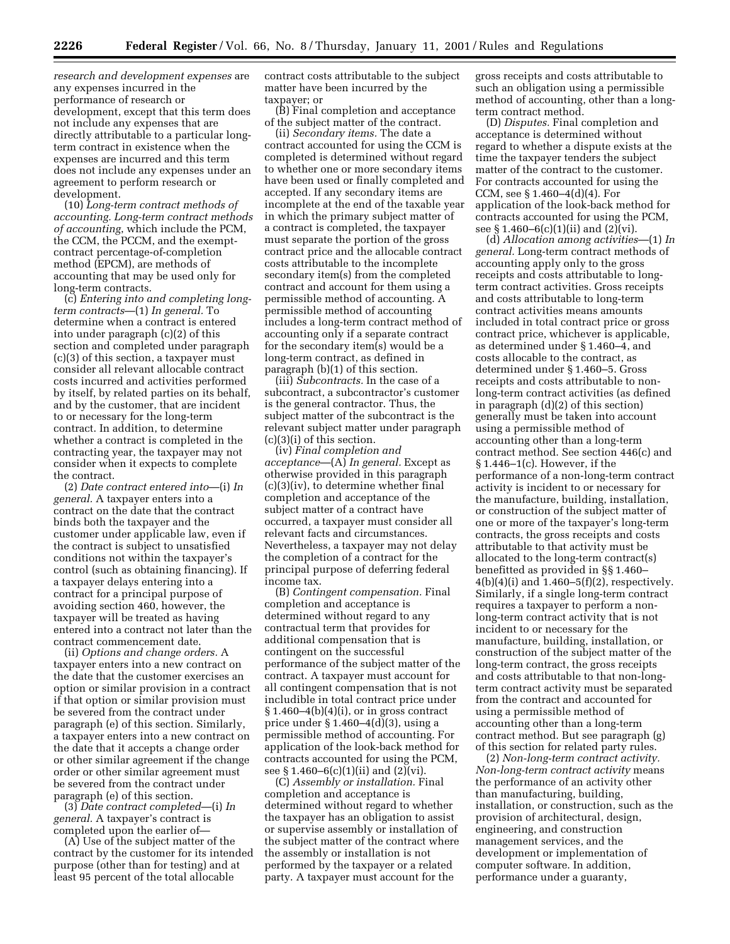*research and development expenses* are any expenses incurred in the performance of research or development, except that this term does not include any expenses that are directly attributable to a particular longterm contract in existence when the expenses are incurred and this term does not include any expenses under an agreement to perform research or development.

(10) *Long-term contract methods of accounting. Long-term contract methods of accounting*, which include the PCM, the CCM, the PCCM, and the exemptcontract percentage-of-completion method (EPCM), are methods of accounting that may be used only for long-term contracts.

(c) *Entering into and completing longterm contracts*—(1) *In general.* To determine when a contract is entered into under paragraph (c)(2) of this section and completed under paragraph (c)(3) of this section, a taxpayer must consider all relevant allocable contract costs incurred and activities performed by itself, by related parties on its behalf, and by the customer, that are incident to or necessary for the long-term contract. In addition, to determine whether a contract is completed in the contracting year, the taxpayer may not consider when it expects to complete the contract.

(2) *Date contract entered into*—(i) *In general.* A taxpayer enters into a contract on the date that the contract binds both the taxpayer and the customer under applicable law, even if the contract is subject to unsatisfied conditions not within the taxpayer's control (such as obtaining financing). If a taxpayer delays entering into a contract for a principal purpose of avoiding section 460, however, the taxpayer will be treated as having entered into a contract not later than the contract commencement date.

(ii) *Options and change orders.* A taxpayer enters into a new contract on the date that the customer exercises an option or similar provision in a contract if that option or similar provision must be severed from the contract under paragraph (e) of this section. Similarly, a taxpayer enters into a new contract on the date that it accepts a change order or other similar agreement if the change order or other similar agreement must be severed from the contract under paragraph (e) of this section.

(3) *Date contract completed*—(i) *In general.* A taxpayer's contract is completed upon the earlier of—

(A) Use of the subject matter of the contract by the customer for its intended purpose (other than for testing) and at least 95 percent of the total allocable

contract costs attributable to the subject matter have been incurred by the taxpayer; or

(B) Final completion and acceptance of the subject matter of the contract.

(ii) *Secondary items.* The date a contract accounted for using the CCM is completed is determined without regard to whether one or more secondary items have been used or finally completed and accepted. If any secondary items are incomplete at the end of the taxable year in which the primary subject matter of a contract is completed, the taxpayer must separate the portion of the gross contract price and the allocable contract costs attributable to the incomplete secondary item(s) from the completed contract and account for them using a permissible method of accounting. A permissible method of accounting includes a long-term contract method of accounting only if a separate contract for the secondary item(s) would be a long-term contract, as defined in paragraph (b)(1) of this section.

(iii) *Subcontracts.* In the case of a subcontract, a subcontractor's customer is the general contractor. Thus, the subject matter of the subcontract is the relevant subject matter under paragraph (c)(3)(i) of this section.

(iv) *Final completion and acceptance*—(A) *In general.* Except as otherwise provided in this paragraph (c)(3)(iv), to determine whether final completion and acceptance of the subject matter of a contract have occurred, a taxpayer must consider all relevant facts and circumstances. Nevertheless, a taxpayer may not delay the completion of a contract for the principal purpose of deferring federal income tax.

(B) *Contingent compensation.* Final completion and acceptance is determined without regard to any contractual term that provides for additional compensation that is contingent on the successful performance of the subject matter of the contract. A taxpayer must account for all contingent compensation that is not includible in total contract price under  $§ 1.460-4(b)(4)(i)$ , or in gross contract price under  $\S 1.460-4(d)(3)$ , using a permissible method of accounting. For application of the look-back method for contracts accounted for using the PCM, see § 1.460–6(c)(1)(ii) and (2)(vi).

(C) *Assembly or installation.* Final completion and acceptance is determined without regard to whether the taxpayer has an obligation to assist or supervise assembly or installation of the subject matter of the contract where the assembly or installation is not performed by the taxpayer or a related party. A taxpayer must account for the

gross receipts and costs attributable to such an obligation using a permissible method of accounting, other than a longterm contract method.

(D) *Disputes.* Final completion and acceptance is determined without regard to whether a dispute exists at the time the taxpayer tenders the subject matter of the contract to the customer. For contracts accounted for using the CCM, see § 1.460–4(d)(4). For application of the look-back method for contracts accounted for using the PCM, see § 1.460–6(c)(1)(ii) and (2)(vi).

(d) *Allocation among activities*—(1) *In general.* Long-term contract methods of accounting apply only to the gross receipts and costs attributable to longterm contract activities. Gross receipts and costs attributable to long-term contract activities means amounts included in total contract price or gross contract price, whichever is applicable, as determined under § 1.460–4, and costs allocable to the contract, as determined under § 1.460–5. Gross receipts and costs attributable to nonlong-term contract activities (as defined in paragraph (d)(2) of this section) generally must be taken into account using a permissible method of accounting other than a long-term contract method. See section 446(c) and § 1.446–1(c). However, if the performance of a non-long-term contract activity is incident to or necessary for the manufacture, building, installation, or construction of the subject matter of one or more of the taxpayer's long-term contracts, the gross receipts and costs attributable to that activity must be allocated to the long-term contract(s) benefitted as provided in §§ 1.460–  $4(b)(4)(i)$  and  $1.460-5(f)(2)$ , respectively. Similarly, if a single long-term contract requires a taxpayer to perform a nonlong-term contract activity that is not incident to or necessary for the manufacture, building, installation, or construction of the subject matter of the long-term contract, the gross receipts and costs attributable to that non-longterm contract activity must be separated from the contract and accounted for using a permissible method of accounting other than a long-term contract method. But see paragraph (g) of this section for related party rules.

(2) *Non-long-term contract activity. Non-long-term contract activity* means the performance of an activity other than manufacturing, building, installation, or construction, such as the provision of architectural, design, engineering, and construction management services, and the development or implementation of computer software. In addition, performance under a guaranty,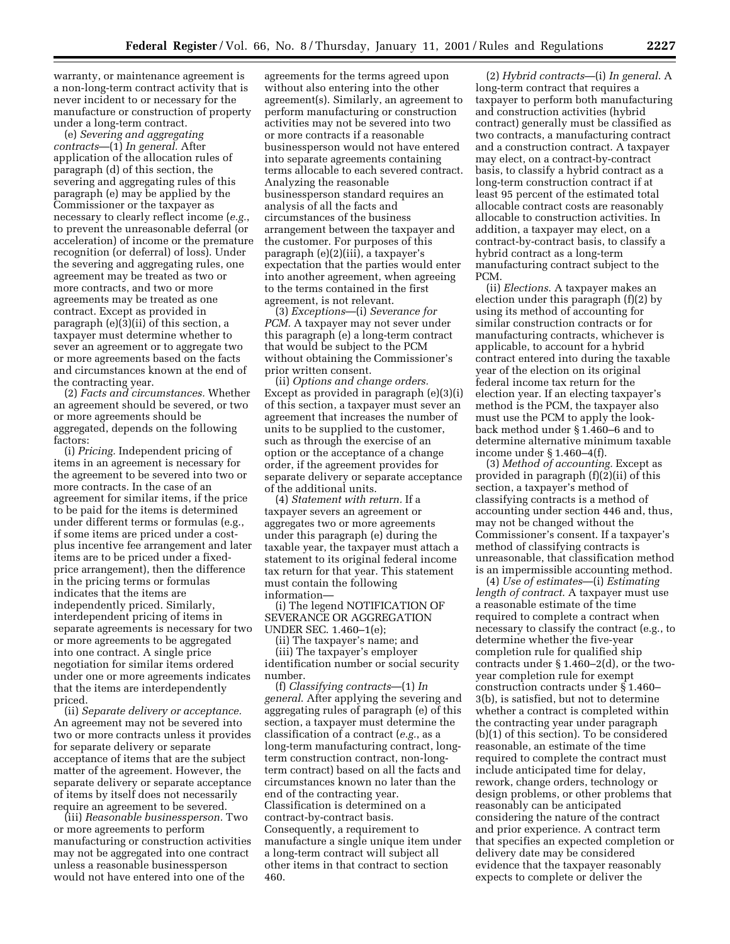warranty, or maintenance agreement is a non-long-term contract activity that is never incident to or necessary for the manufacture or construction of property under a long-term contract.

(e) *Severing and aggregating contracts*—(1) *In general.* After application of the allocation rules of paragraph (d) of this section, the severing and aggregating rules of this paragraph (e) may be applied by the Commissioner or the taxpayer as necessary to clearly reflect income (*e.g.*, to prevent the unreasonable deferral (or acceleration) of income or the premature recognition (or deferral) of loss). Under the severing and aggregating rules, one agreement may be treated as two or more contracts, and two or more agreements may be treated as one contract. Except as provided in paragraph (e)(3)(ii) of this section, a taxpayer must determine whether to sever an agreement or to aggregate two or more agreements based on the facts and circumstances known at the end of the contracting year.

(2) *Facts and circumstances.* Whether an agreement should be severed, or two or more agreements should be aggregated, depends on the following factors:

(i) *Pricing.* Independent pricing of items in an agreement is necessary for the agreement to be severed into two or more contracts. In the case of an agreement for similar items, if the price to be paid for the items is determined under different terms or formulas (e.g., if some items are priced under a costplus incentive fee arrangement and later items are to be priced under a fixedprice arrangement), then the difference in the pricing terms or formulas indicates that the items are independently priced. Similarly, interdependent pricing of items in separate agreements is necessary for two or more agreements to be aggregated into one contract. A single price negotiation for similar items ordered under one or more agreements indicates that the items are interdependently priced.

(ii) *Separate delivery or acceptance.* An agreement may not be severed into two or more contracts unless it provides for separate delivery or separate acceptance of items that are the subject matter of the agreement. However, the separate delivery or separate acceptance of items by itself does not necessarily require an agreement to be severed.

(iii) *Reasonable businessperson.* Two or more agreements to perform manufacturing or construction activities may not be aggregated into one contract unless a reasonable businessperson would not have entered into one of the

agreements for the terms agreed upon without also entering into the other agreement(s). Similarly, an agreement to perform manufacturing or construction activities may not be severed into two or more contracts if a reasonable businessperson would not have entered into separate agreements containing terms allocable to each severed contract. Analyzing the reasonable businessperson standard requires an analysis of all the facts and circumstances of the business arrangement between the taxpayer and the customer. For purposes of this paragraph (e)(2)(iii), a taxpayer's expectation that the parties would enter into another agreement, when agreeing to the terms contained in the first agreement, is not relevant.

(3) *Exceptions*—(i) *Severance for PCM.* A taxpayer may not sever under this paragraph (e) a long-term contract that would be subject to the PCM without obtaining the Commissioner's prior written consent.

(ii) *Options and change orders.* Except as provided in paragraph (e)(3)(i) of this section, a taxpayer must sever an agreement that increases the number of units to be supplied to the customer, such as through the exercise of an option or the acceptance of a change order, if the agreement provides for separate delivery or separate acceptance of the additional units.

(4) *Statement with return.* If a taxpayer severs an agreement or aggregates two or more agreements under this paragraph (e) during the taxable year, the taxpayer must attach a statement to its original federal income tax return for that year. This statement must contain the following information—

(i) The legend NOTIFICATION OF SEVERANCE OR AGGREGATION UNDER SEC. 1.460–1(e);

(ii) The taxpayer's name; and (iii) The taxpayer's employer identification number or social security number.

(f) *Classifying contracts*—(1) *In general*. After applying the severing and aggregating rules of paragraph (e) of this section, a taxpayer must determine the classification of a contract (*e.g.*, as a long-term manufacturing contract, longterm construction contract, non-longterm contract) based on all the facts and circumstances known no later than the end of the contracting year. Classification is determined on a contract-by-contract basis. Consequently, a requirement to manufacture a single unique item under a long-term contract will subject all other items in that contract to section 460.

(2) *Hybrid contracts*—(i) *In general*. A long-term contract that requires a taxpayer to perform both manufacturing and construction activities (hybrid contract) generally must be classified as two contracts, a manufacturing contract and a construction contract. A taxpayer may elect, on a contract-by-contract basis, to classify a hybrid contract as a long-term construction contract if at least 95 percent of the estimated total allocable contract costs are reasonably allocable to construction activities. In addition, a taxpayer may elect, on a contract-by-contract basis, to classify a hybrid contract as a long-term manufacturing contract subject to the PCM.

(ii) *Elections*. A taxpayer makes an election under this paragraph (f)(2) by using its method of accounting for similar construction contracts or for manufacturing contracts, whichever is applicable, to account for a hybrid contract entered into during the taxable year of the election on its original federal income tax return for the election year. If an electing taxpayer's method is the PCM, the taxpayer also must use the PCM to apply the lookback method under § 1.460–6 and to determine alternative minimum taxable income under § 1.460–4(f).

(3) *Method of accounting.* Except as provided in paragraph (f)(2)(ii) of this section, a taxpayer's method of classifying contracts is a method of accounting under section 446 and, thus, may not be changed without the Commissioner's consent. If a taxpayer's method of classifying contracts is unreasonable, that classification method is an impermissible accounting method.

(4) *Use of estimates*—(i) *Estimating length of contract*. A taxpayer must use a reasonable estimate of the time required to complete a contract when necessary to classify the contract (e.g., to determine whether the five-year completion rule for qualified ship contracts under  $\S 1.460-2(d)$ , or the twoyear completion rule for exempt construction contracts under § 1.460– 3(b), is satisfied, but not to determine whether a contract is completed within the contracting year under paragraph (b)(1) of this section). To be considered reasonable, an estimate of the time required to complete the contract must include anticipated time for delay, rework, change orders, technology or design problems, or other problems that reasonably can be anticipated considering the nature of the contract and prior experience. A contract term that specifies an expected completion or delivery date may be considered evidence that the taxpayer reasonably expects to complete or deliver the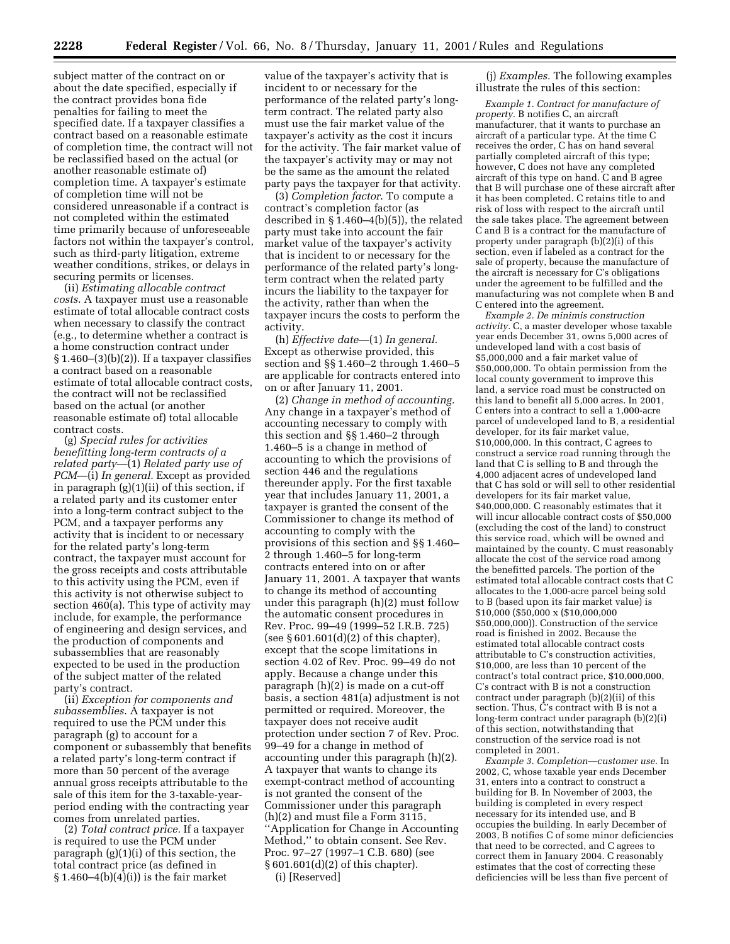subject matter of the contract on or about the date specified, especially if the contract provides bona fide penalties for failing to meet the specified date. If a taxpayer classifies a contract based on a reasonable estimate of completion time, the contract will not be reclassified based on the actual (or another reasonable estimate of) completion time. A taxpayer's estimate of completion time will not be considered unreasonable if a contract is not completed within the estimated time primarily because of unforeseeable factors not within the taxpayer's control, such as third-party litigation, extreme weather conditions, strikes, or delays in securing permits or licenses.

(ii) *Estimating allocable contract costs*. A taxpayer must use a reasonable estimate of total allocable contract costs when necessary to classify the contract (e.g., to determine whether a contract is a home construction contract under  $\S 1.460-(3)(b)(2)$ . If a taxpayer classifies a contract based on a reasonable estimate of total allocable contract costs, the contract will not be reclassified based on the actual (or another reasonable estimate of) total allocable contract costs.

(g) *Special rules for activities benefitting long-term contracts of a related party*—(1) *Related party use of PCM*—(i) *In general.* Except as provided in paragraph (g)(1)(ii) of this section, if a related party and its customer enter into a long-term contract subject to the PCM, and a taxpayer performs any activity that is incident to or necessary for the related party's long-term contract, the taxpayer must account for the gross receipts and costs attributable to this activity using the PCM, even if this activity is not otherwise subject to section 460(a). This type of activity may include, for example, the performance of engineering and design services, and the production of components and subassemblies that are reasonably expected to be used in the production of the subject matter of the related party's contract.

(ii) *Exception for components and subassemblies*. A taxpayer is not required to use the PCM under this paragraph (g) to account for a component or subassembly that benefits a related party's long-term contract if more than 50 percent of the average annual gross receipts attributable to the sale of this item for the 3-taxable-yearperiod ending with the contracting year comes from unrelated parties.

(2) *Total contract price.* If a taxpayer is required to use the PCM under paragraph (g)(1)(i) of this section, the total contract price (as defined in  $§ 1.460-4(b)(4)(i)$  is the fair market

value of the taxpayer's activity that is incident to or necessary for the performance of the related party's longterm contract. The related party also must use the fair market value of the taxpayer's activity as the cost it incurs for the activity. The fair market value of the taxpayer's activity may or may not be the same as the amount the related party pays the taxpayer for that activity.

(3) *Completion factor*. To compute a contract's completion factor (as described in § 1.460–4(b)(5)), the related party must take into account the fair market value of the taxpayer's activity that is incident to or necessary for the performance of the related party's longterm contract when the related party incurs the liability to the taxpayer for the activity, rather than when the taxpayer incurs the costs to perform the activity.

(h) *Effective date*—(1) *In general.* Except as otherwise provided, this section and §§ 1.460–2 through 1.460–5 are applicable for contracts entered into on or after January 11, 2001.

(2) *Change in method of accounting.* Any change in a taxpayer's method of accounting necessary to comply with this section and §§ 1.460–2 through 1.460–5 is a change in method of accounting to which the provisions of section 446 and the regulations thereunder apply. For the first taxable year that includes January 11, 2001, a taxpayer is granted the consent of the Commissioner to change its method of accounting to comply with the provisions of this section and §§ 1.460– 2 through 1.460–5 for long-term contracts entered into on or after January 11, 2001. A taxpayer that wants to change its method of accounting under this paragraph (h)(2) must follow the automatic consent procedures in Rev. Proc. 99–49 (1999–52 I.R.B. 725) (see  $§ 601.601(d)(2)$  of this chapter), except that the scope limitations in section 4.02 of Rev. Proc. 99–49 do not apply. Because a change under this paragraph (h)(2) is made on a cut-off basis, a section 481(a) adjustment is not permitted or required. Moreover, the taxpayer does not receive audit protection under section 7 of Rev. Proc. 99–49 for a change in method of accounting under this paragraph (h)(2). A taxpayer that wants to change its exempt-contract method of accounting is not granted the consent of the Commissioner under this paragraph (h)(2) and must file a Form 3115, ''Application for Change in Accounting Method,'' to obtain consent. See Rev. Proc. 97–27 (1997–1 C.B. 680) (see § 601.601(d)(2) of this chapter). (i) [Reserved]

(j) *Examples.* The following examples illustrate the rules of this section:

*Example 1. Contract for manufacture of property.* B notifies C, an aircraft manufacturer, that it wants to purchase an aircraft of a particular type. At the time C receives the order, C has on hand several partially completed aircraft of this type; however, C does not have any completed aircraft of this type on hand. C and B agree that B will purchase one of these aircraft after it has been completed. C retains title to and risk of loss with respect to the aircraft until the sale takes place. The agreement between C and B is a contract for the manufacture of property under paragraph (b)(2)(i) of this section, even if labeled as a contract for the sale of property, because the manufacture of the aircraft is necessary for C's obligations under the agreement to be fulfilled and the manufacturing was not complete when B and C entered into the agreement.

*Example 2. De minimis construction activity.* C, a master developer whose taxable year ends December 31, owns 5,000 acres of undeveloped land with a cost basis of \$5,000,000 and a fair market value of \$50,000,000. To obtain permission from the local county government to improve this land, a service road must be constructed on this land to benefit all 5,000 acres. In 2001, C enters into a contract to sell a 1,000-acre parcel of undeveloped land to B, a residential developer, for its fair market value, \$10,000,000. In this contract, C agrees to construct a service road running through the land that C is selling to B and through the 4,000 adjacent acres of undeveloped land that C has sold or will sell to other residential developers for its fair market value, \$40,000,000. C reasonably estimates that it will incur allocable contract costs of \$50,000 (excluding the cost of the land) to construct this service road, which will be owned and maintained by the county. C must reasonably allocate the cost of the service road among the benefitted parcels. The portion of the estimated total allocable contract costs that C allocates to the 1,000-acre parcel being sold to B (based upon its fair market value) is \$10,000 (\$50,000 x (\$10,000,000 \$50,000,000)). Construction of the service road is finished in 2002. Because the estimated total allocable contract costs attributable to C's construction activities, \$10,000, are less than 10 percent of the contract's total contract price, \$10,000,000, C's contract with B is not a construction contract under paragraph (b)(2)(ii) of this section. Thus,  $\overline{C}$ 's contract with B is not a long-term contract under paragraph (b)(2)(i) of this section, notwithstanding that construction of the service road is not completed in 2001.

*Example 3. Completion—customer use.* In 2002, C, whose taxable year ends December 31, enters into a contract to construct a building for B. In November of 2003, the building is completed in every respect necessary for its intended use, and B occupies the building. In early December of 2003, B notifies C of some minor deficiencies that need to be corrected, and C agrees to correct them in January 2004. C reasonably estimates that the cost of correcting these deficiencies will be less than five percent of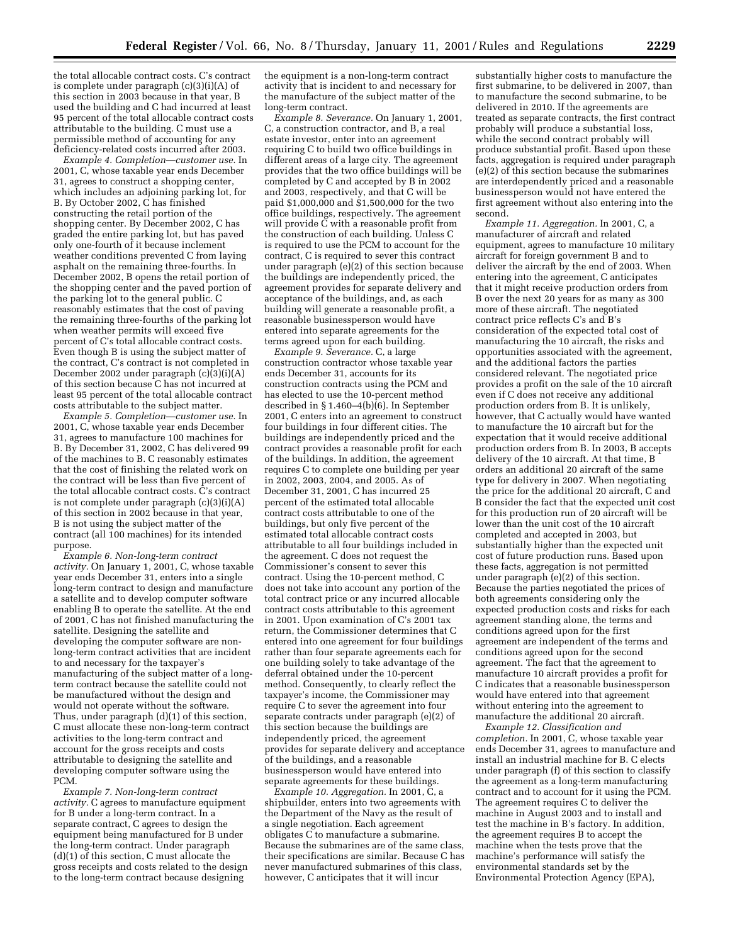the total allocable contract costs. C's contract is complete under paragraph (c)(3)(i)(A) of this section in 2003 because in that year, B used the building and C had incurred at least 95 percent of the total allocable contract costs attributable to the building. C must use a permissible method of accounting for any deficiency-related costs incurred after 2003.

*Example 4. Completion—customer use.* In 2001, C, whose taxable year ends December 31, agrees to construct a shopping center, which includes an adjoining parking lot, for B. By October 2002, C has finished constructing the retail portion of the shopping center. By December 2002, C has graded the entire parking lot, but has paved only one-fourth of it because inclement weather conditions prevented C from laying asphalt on the remaining three-fourths. In December 2002, B opens the retail portion of the shopping center and the paved portion of the parking lot to the general public. C reasonably estimates that the cost of paving the remaining three-fourths of the parking lot when weather permits will exceed five percent of C's total allocable contract costs. Even though B is using the subject matter of the contract, C's contract is not completed in December 2002 under paragraph  $(c)(3)(i)(A)$ of this section because C has not incurred at least 95 percent of the total allocable contract costs attributable to the subject matter.

*Example 5. Completion—customer use.* In 2001, C, whose taxable year ends December 31, agrees to manufacture 100 machines for B. By December 31, 2002, C has delivered 99 of the machines to B. C reasonably estimates that the cost of finishing the related work on the contract will be less than five percent of the total allocable contract costs.  $\hat{C}$ 's contract is not complete under paragraph (c)(3)(i)(A) of this section in 2002 because in that year, B is not using the subject matter of the contract (all 100 machines) for its intended purpose.

*Example 6. Non-long-term contract activity.* On January 1, 2001, C, whose taxable year ends December 31, enters into a single long-term contract to design and manufacture a satellite and to develop computer software enabling B to operate the satellite. At the end of 2001, C has not finished manufacturing the satellite. Designing the satellite and developing the computer software are nonlong-term contract activities that are incident to and necessary for the taxpayer's manufacturing of the subject matter of a longterm contract because the satellite could not be manufactured without the design and would not operate without the software. Thus, under paragraph (d)(1) of this section, C must allocate these non-long-term contract activities to the long-term contract and account for the gross receipts and costs attributable to designing the satellite and developing computer software using the PCM.

*Example 7. Non-long-term contract activity.* C agrees to manufacture equipment for B under a long-term contract. In a separate contract, C agrees to design the equipment being manufactured for B under the long-term contract. Under paragraph (d)(1) of this section, C must allocate the gross receipts and costs related to the design to the long-term contract because designing

the equipment is a non-long-term contract activity that is incident to and necessary for the manufacture of the subject matter of the long-term contract.

*Example 8. Severance.* On January 1, 2001, C, a construction contractor, and B, a real estate investor, enter into an agreement requiring C to build two office buildings in different areas of a large city. The agreement provides that the two office buildings will be completed by C and accepted by B in 2002 and 2003, respectively, and that C will be paid \$1,000,000 and \$1,500,000 for the two office buildings, respectively. The agreement will provide  $\check{C}$  with a reasonable profit from the construction of each building. Unless C is required to use the PCM to account for the contract, C is required to sever this contract under paragraph (e)(2) of this section because the buildings are independently priced, the agreement provides for separate delivery and acceptance of the buildings, and, as each building will generate a reasonable profit, a reasonable businessperson would have entered into separate agreements for the terms agreed upon for each building.

*Example 9. Severance.* C, a large construction contractor whose taxable year ends December 31, accounts for its construction contracts using the PCM and has elected to use the 10-percent method described in § 1.460–4(b) $(6)$ . In September 2001, C enters into an agreement to construct four buildings in four different cities. The buildings are independently priced and the contract provides a reasonable profit for each of the buildings. In addition, the agreement requires C to complete one building per year in 2002, 2003, 2004, and 2005. As of December 31, 2001, C has incurred 25 percent of the estimated total allocable contract costs attributable to one of the buildings, but only five percent of the estimated total allocable contract costs attributable to all four buildings included in the agreement. C does not request the Commissioner's consent to sever this contract. Using the 10-percent method, C does not take into account any portion of the total contract price or any incurred allocable contract costs attributable to this agreement in 2001. Upon examination of C's 2001 tax return, the Commissioner determines that C entered into one agreement for four buildings rather than four separate agreements each for one building solely to take advantage of the deferral obtained under the 10-percent method. Consequently, to clearly reflect the taxpayer's income, the Commissioner may require C to sever the agreement into four separate contracts under paragraph (e)(2) of this section because the buildings are independently priced, the agreement provides for separate delivery and acceptance of the buildings, and a reasonable businessperson would have entered into separate agreements for these buildings.

*Example 10. Aggregation.* In 2001, C, a shipbuilder, enters into two agreements with the Department of the Navy as the result of a single negotiation. Each agreement obligates C to manufacture a submarine. Because the submarines are of the same class, their specifications are similar. Because C has never manufactured submarines of this class, however, C anticipates that it will incur

substantially higher costs to manufacture the first submarine, to be delivered in 2007, than to manufacture the second submarine, to be delivered in 2010. If the agreements are treated as separate contracts, the first contract probably will produce a substantial loss, while the second contract probably will produce substantial profit. Based upon these facts, aggregation is required under paragraph (e)(2) of this section because the submarines are interdependently priced and a reasonable businessperson would not have entered the first agreement without also entering into the second.

*Example 11. Aggregation.* In 2001, C, a manufacturer of aircraft and related equipment, agrees to manufacture 10 military aircraft for foreign government B and to deliver the aircraft by the end of 2003. When entering into the agreement, C anticipates that it might receive production orders from B over the next 20 years for as many as 300 more of these aircraft. The negotiated contract price reflects C's and B's consideration of the expected total cost of manufacturing the 10 aircraft, the risks and opportunities associated with the agreement, and the additional factors the parties considered relevant. The negotiated price provides a profit on the sale of the 10 aircraft even if C does not receive any additional production orders from B. It is unlikely, however, that C actually would have wanted to manufacture the 10 aircraft but for the expectation that it would receive additional production orders from B. In 2003, B accepts delivery of the 10 aircraft. At that time, B orders an additional 20 aircraft of the same type for delivery in 2007. When negotiating the price for the additional 20 aircraft, C and B consider the fact that the expected unit cost for this production run of 20 aircraft will be lower than the unit cost of the 10 aircraft completed and accepted in 2003, but substantially higher than the expected unit cost of future production runs. Based upon these facts, aggregation is not permitted under paragraph (e)(2) of this section. Because the parties negotiated the prices of both agreements considering only the expected production costs and risks for each agreement standing alone, the terms and conditions agreed upon for the first agreement are independent of the terms and conditions agreed upon for the second agreement. The fact that the agreement to manufacture 10 aircraft provides a profit for C indicates that a reasonable businessperson would have entered into that agreement without entering into the agreement to manufacture the additional 20 aircraft.

*Example 12. Classification and completion.* In 2001, C, whose taxable year ends December 31, agrees to manufacture and install an industrial machine for B. C elects under paragraph (f) of this section to classify the agreement as a long-term manufacturing contract and to account for it using the PCM. The agreement requires C to deliver the machine in August 2003 and to install and test the machine in B's factory. In addition, the agreement requires B to accept the machine when the tests prove that the machine's performance will satisfy the environmental standards set by the Environmental Protection Agency (EPA),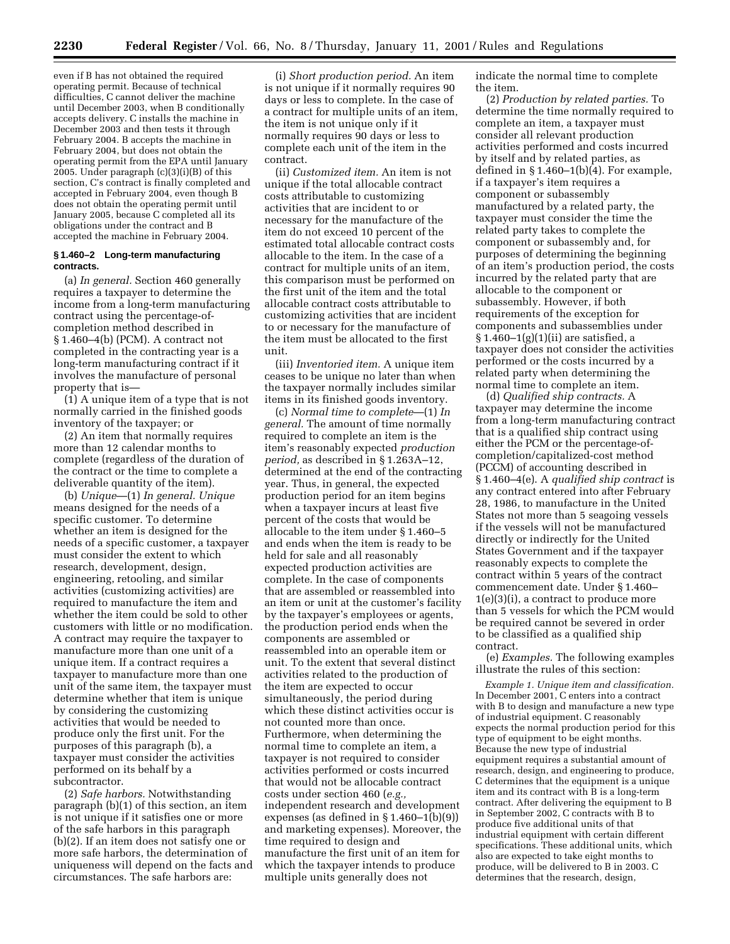even if B has not obtained the required operating permit. Because of technical difficulties, C cannot deliver the machine until December 2003, when B conditionally accepts delivery. C installs the machine in December 2003 and then tests it through February 2004. B accepts the machine in February 2004, but does not obtain the operating permit from the EPA until January 2005. Under paragraph (c)(3)(i)(B) of this section, C's contract is finally completed and accepted in February 2004, even though B does not obtain the operating permit until January 2005, because C completed all its obligations under the contract and B accepted the machine in February 2004.

### **§ 1.460–2 Long-term manufacturing contracts.**

(a) *In general.* Section 460 generally requires a taxpayer to determine the income from a long-term manufacturing contract using the percentage-ofcompletion method described in § 1.460–4(b) (PCM). A contract not completed in the contracting year is a long-term manufacturing contract if it involves the manufacture of personal property that is—

(1) A unique item of a type that is not normally carried in the finished goods inventory of the taxpayer; or

(2) An item that normally requires more than 12 calendar months to complete (regardless of the duration of the contract or the time to complete a deliverable quantity of the item).

(b) *Unique*—(1) *In general. Unique* means designed for the needs of a specific customer. To determine whether an item is designed for the needs of a specific customer, a taxpayer must consider the extent to which research, development, design, engineering, retooling, and similar activities (customizing activities) are required to manufacture the item and whether the item could be sold to other customers with little or no modification. A contract may require the taxpayer to manufacture more than one unit of a unique item. If a contract requires a taxpayer to manufacture more than one unit of the same item, the taxpayer must determine whether that item is unique by considering the customizing activities that would be needed to produce only the first unit. For the purposes of this paragraph (b), a taxpayer must consider the activities performed on its behalf by a subcontractor.

(2) *Safe harbors.* Notwithstanding paragraph (b)(1) of this section, an item is not unique if it satisfies one or more of the safe harbors in this paragraph (b)(2). If an item does not satisfy one or more safe harbors, the determination of uniqueness will depend on the facts and circumstances. The safe harbors are:

(i) *Short production period.* An item is not unique if it normally requires 90 days or less to complete. In the case of a contract for multiple units of an item, the item is not unique only if it normally requires 90 days or less to complete each unit of the item in the contract.

(ii) *Customized item.* An item is not unique if the total allocable contract costs attributable to customizing activities that are incident to or necessary for the manufacture of the item do not exceed 10 percent of the estimated total allocable contract costs allocable to the item. In the case of a contract for multiple units of an item, this comparison must be performed on the first unit of the item and the total allocable contract costs attributable to customizing activities that are incident to or necessary for the manufacture of the item must be allocated to the first unit.

(iii) *Inventoried item.* A unique item ceases to be unique no later than when the taxpayer normally includes similar items in its finished goods inventory.

(c) *Normal time to complete*—(1) *In general.* The amount of time normally required to complete an item is the item's reasonably expected *production period,* as described in § 1.263A–12, determined at the end of the contracting year. Thus, in general, the expected production period for an item begins when a taxpayer incurs at least five percent of the costs that would be allocable to the item under § 1.460–5 and ends when the item is ready to be held for sale and all reasonably expected production activities are complete. In the case of components that are assembled or reassembled into an item or unit at the customer's facility by the taxpayer's employees or agents, the production period ends when the components are assembled or reassembled into an operable item or unit. To the extent that several distinct activities related to the production of the item are expected to occur simultaneously, the period during which these distinct activities occur is not counted more than once. Furthermore, when determining the normal time to complete an item, a taxpayer is not required to consider activities performed or costs incurred that would not be allocable contract costs under section 460 (*e.g.,* independent research and development expenses (as defined in § 1.460–1(b)(9)) and marketing expenses). Moreover, the time required to design and manufacture the first unit of an item for which the taxpayer intends to produce multiple units generally does not

indicate the normal time to complete the item.

(2) *Production by related parties.* To determine the time normally required to complete an item, a taxpayer must consider all relevant production activities performed and costs incurred by itself and by related parties, as defined in  $\S 1.460-1(b)(4)$ . For example, if a taxpayer's item requires a component or subassembly manufactured by a related party, the taxpayer must consider the time the related party takes to complete the component or subassembly and, for purposes of determining the beginning of an item's production period, the costs incurred by the related party that are allocable to the component or subassembly. However, if both requirements of the exception for components and subassemblies under § 1.460–1(g)(1)(ii) are satisfied, a taxpayer does not consider the activities performed or the costs incurred by a related party when determining the normal time to complete an item.

(d) *Qualified ship contracts.* A taxpayer may determine the income from a long-term manufacturing contract that is a qualified ship contract using either the PCM or the percentage-ofcompletion/capitalized-cost method (PCCM) of accounting described in § 1.460–4(e). A *qualified ship contract* is any contract entered into after February 28, 1986, to manufacture in the United States not more than 5 seagoing vessels if the vessels will not be manufactured directly or indirectly for the United States Government and if the taxpayer reasonably expects to complete the contract within 5 years of the contract commencement date. Under § 1.460– 1(e)(3)(i), a contract to produce more than 5 vessels for which the PCM would be required cannot be severed in order to be classified as a qualified ship contract.

(e) *Examples.* The following examples illustrate the rules of this section:

*Example 1. Unique item and classification.* In December 2001, C enters into a contract with B to design and manufacture a new type of industrial equipment. C reasonably expects the normal production period for this type of equipment to be eight months. Because the new type of industrial equipment requires a substantial amount of research, design, and engineering to produce, C determines that the equipment is a unique item and its contract with B is a long-term contract. After delivering the equipment to B in September 2002, C contracts with B to produce five additional units of that industrial equipment with certain different specifications. These additional units, which also are expected to take eight months to produce, will be delivered to B in 2003. C determines that the research, design,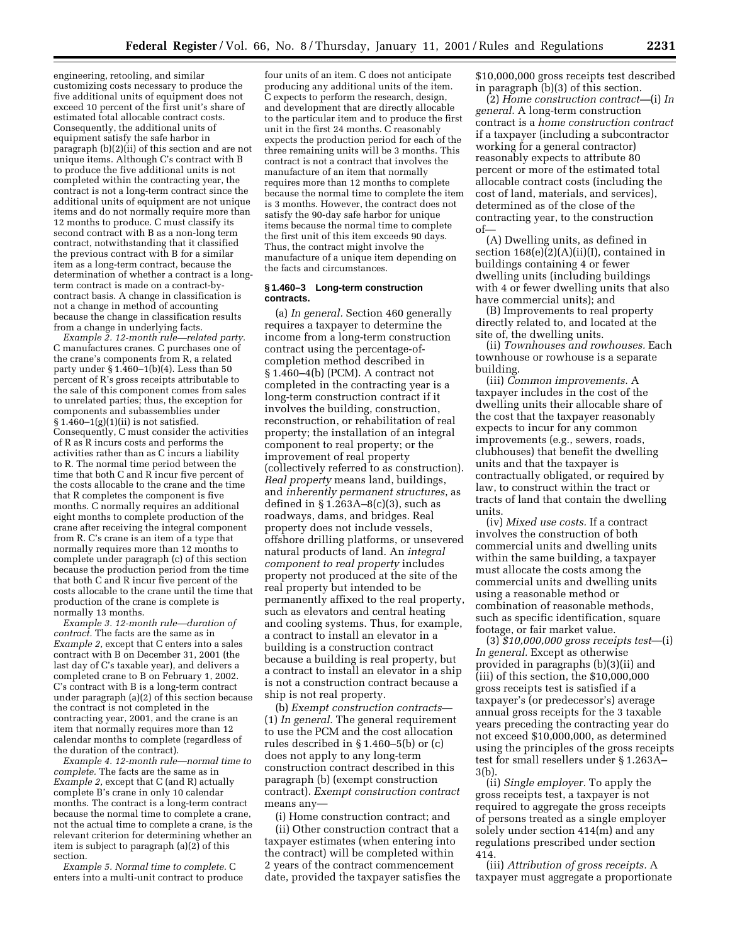engineering, retooling, and similar customizing costs necessary to produce the five additional units of equipment does not exceed 10 percent of the first unit's share of estimated total allocable contract costs. Consequently, the additional units of equipment satisfy the safe harbor in paragraph (b)(2)(ii) of this section and are not unique items. Although C's contract with B to produce the five additional units is not completed within the contracting year, the contract is not a long-term contract since the additional units of equipment are not unique items and do not normally require more than 12 months to produce. C must classify its second contract with B as a non-long term contract, notwithstanding that it classified the previous contract with B for a similar item as a long-term contract, because the determination of whether a contract is a longterm contract is made on a contract-bycontract basis. A change in classification is not a change in method of accounting because the change in classification results from a change in underlying facts.

*Example 2. 12-month rule—related party.* C manufactures cranes. C purchases one of the crane's components from R, a related party under § 1.460–1(b)(4). Less than 50 percent of R's gross receipts attributable to the sale of this component comes from sales to unrelated parties; thus, the exception for components and subassemblies under  $§ 1.460-1(g)(1)(ii)$  is not satisfied. Consequently, C must consider the activities of R as R incurs costs and performs the activities rather than as C incurs a liability to R. The normal time period between the time that both C and R incur five percent of the costs allocable to the crane and the time that R completes the component is five months. C normally requires an additional eight months to complete production of the crane after receiving the integral component from R. C's crane is an item of a type that normally requires more than 12 months to complete under paragraph (c) of this section because the production period from the time that both C and R incur five percent of the costs allocable to the crane until the time that production of the crane is complete is normally 13 months.

*Example 3. 12-month rule—duration of contract.* The facts are the same as in *Example 2,* except that C enters into a sales contract with B on December 31, 2001 (the last day of C's taxable year), and delivers a completed crane to B on February 1, 2002. C's contract with B is a long-term contract under paragraph (a)(2) of this section because the contract is not completed in the contracting year, 2001, and the crane is an item that normally requires more than 12 calendar months to complete (regardless of the duration of the contract).

*Example 4. 12-month rule—normal time to complete.* The facts are the same as in *Example 2,* except that C (and R) actually complete B's crane in only 10 calendar months. The contract is a long-term contract because the normal time to complete a crane, not the actual time to complete a crane, is the relevant criterion for determining whether an item is subject to paragraph (a)(2) of this section.

*Example 5. Normal time to complete.* C enters into a multi-unit contract to produce

four units of an item. C does not anticipate producing any additional units of the item. C expects to perform the research, design, and development that are directly allocable to the particular item and to produce the first unit in the first 24 months. C reasonably expects the production period for each of the three remaining units will be 3 months. This contract is not a contract that involves the manufacture of an item that normally requires more than 12 months to complete because the normal time to complete the item is 3 months. However, the contract does not satisfy the 90-day safe harbor for unique items because the normal time to complete the first unit of this item exceeds 90 days. Thus, the contract might involve the manufacture of a unique item depending on the facts and circumstances.

### **§ 1.460–3 Long-term construction contracts.**

(a) *In general.* Section 460 generally requires a taxpayer to determine the income from a long-term construction contract using the percentage-ofcompletion method described in § 1.460–4(b) (PCM). A contract not completed in the contracting year is a long-term construction contract if it involves the building, construction, reconstruction, or rehabilitation of real property; the installation of an integral component to real property; or the improvement of real property (collectively referred to as construction). *Real property* means land, buildings, and *inherently permanent structures*, as defined in  $\S 1.263A-8(c)(3)$ , such as roadways, dams, and bridges. Real property does not include vessels, offshore drilling platforms, or unsevered natural products of land. An *integral component to real property* includes property not produced at the site of the real property but intended to be permanently affixed to the real property, such as elevators and central heating and cooling systems. Thus, for example, a contract to install an elevator in a building is a construction contract because a building is real property, but a contract to install an elevator in a ship is not a construction contract because a ship is not real property.

(b) *Exempt construction contracts*— (1) *In general.* The general requirement to use the PCM and the cost allocation rules described in § 1.460–5(b) or (c) does not apply to any long-term construction contract described in this paragraph (b) (exempt construction contract). *Exempt construction contract* means any—

(i) Home construction contract; and

(ii) Other construction contract that a taxpayer estimates (when entering into the contract) will be completed within 2 years of the contract commencement date, provided the taxpayer satisfies the \$10,000,000 gross receipts test described in paragraph (b)(3) of this section.

(2) *Home construction contract—*(i) *In general.* A long-term construction contract is a *home construction contract* if a taxpayer (including a subcontractor working for a general contractor) reasonably expects to attribute 80 percent or more of the estimated total allocable contract costs (including the cost of land, materials, and services), determined as of the close of the contracting year, to the construction of—

(A) Dwelling units, as defined in section 168(e)(2)(A)(ii)(I), contained in buildings containing 4 or fewer dwelling units (including buildings with 4 or fewer dwelling units that also have commercial units); and

(B) Improvements to real property directly related to, and located at the site of, the dwelling units.

(ii) *Townhouses and rowhouses.* Each townhouse or rowhouse is a separate building.

(iii) *Common improvements.* A taxpayer includes in the cost of the dwelling units their allocable share of the cost that the taxpayer reasonably expects to incur for any common improvements (e.g., sewers, roads, clubhouses) that benefit the dwelling units and that the taxpayer is contractually obligated, or required by law, to construct within the tract or tracts of land that contain the dwelling units.

(iv) *Mixed use costs.* If a contract involves the construction of both commercial units and dwelling units within the same building, a taxpayer must allocate the costs among the commercial units and dwelling units using a reasonable method or combination of reasonable methods, such as specific identification, square footage, or fair market value.

(3) *\$10,000,000 gross receipts test*—(i) *In general.* Except as otherwise provided in paragraphs (b)(3)(ii) and (iii) of this section, the \$10,000,000 gross receipts test is satisfied if a taxpayer's (or predecessor's) average annual gross receipts for the 3 taxable years preceding the contracting year do not exceed \$10,000,000, as determined using the principles of the gross receipts test for small resellers under § 1.263A– 3(b).

(ii) *Single employer.* To apply the gross receipts test, a taxpayer is not required to aggregate the gross receipts of persons treated as a single employer solely under section 414(m) and any regulations prescribed under section 414.

(iii) *Attribution of gross receipts.* A taxpayer must aggregate a proportionate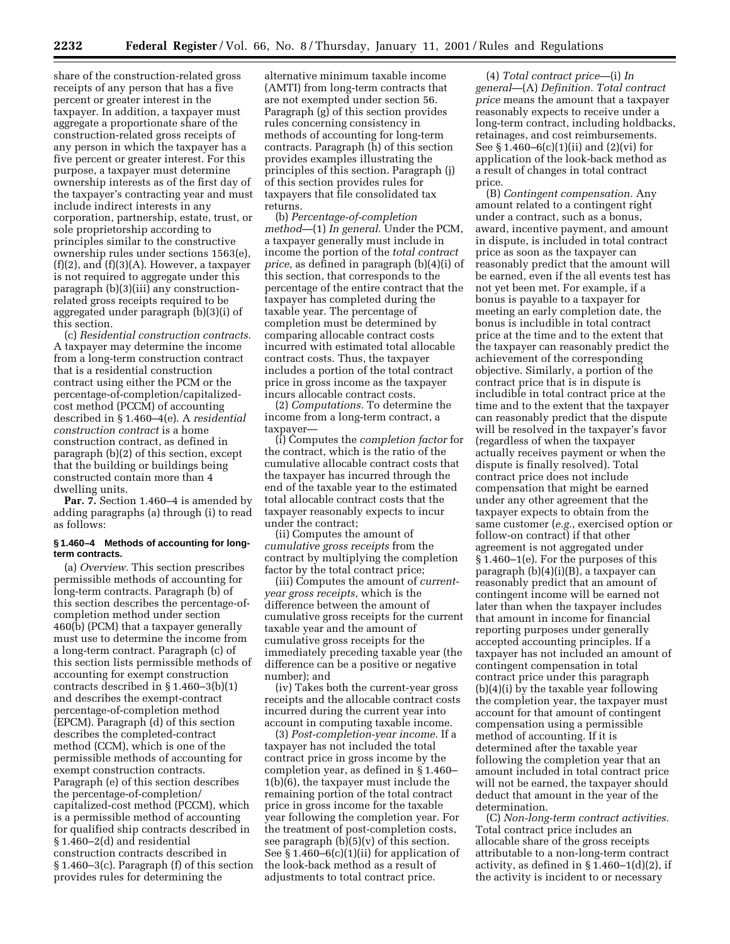**2232 Federal Register** / Vol. 66, No. 8 / Thursday, January 11, 2001 / Rules and Regulations

share of the construction-related gross receipts of any person that has a five percent or greater interest in the taxpayer. In addition, a taxpayer must aggregate a proportionate share of the construction-related gross receipts of any person in which the taxpayer has a five percent or greater interest. For this purpose, a taxpayer must determine ownership interests as of the first day of the taxpayer's contracting year and must include indirect interests in any corporation, partnership, estate, trust, or sole proprietorship according to principles similar to the constructive ownership rules under sections 1563(e),  $(f)(2)$ , and  $(f)(3)(A)$ . However, a taxpayer is not required to aggregate under this paragraph (b)(3)(iii) any constructionrelated gross receipts required to be aggregated under paragraph (b)(3)(i) of this section.

(c) *Residential construction contracts.* A taxpayer may determine the income from a long-term construction contract that is a residential construction contract using either the PCM or the percentage-of-completion/capitalizedcost method (PCCM) of accounting described in § 1.460–4(e). A *residential construction contract* is a home construction contract, as defined in paragraph (b)(2) of this section, except that the building or buildings being constructed contain more than 4 dwelling units.

**Par. 7.** Section 1.460–4 is amended by adding paragraphs (a) through (i) to read as follows:

## **§ 1.460–4 Methods of accounting for longterm contracts.**

(a) *Overview.* This section prescribes permissible methods of accounting for long-term contracts. Paragraph (b) of this section describes the percentage-ofcompletion method under section 460(b) (PCM) that a taxpayer generally must use to determine the income from a long-term contract. Paragraph (c) of this section lists permissible methods of accounting for exempt construction contracts described in § 1.460–3(b)(1) and describes the exempt-contract percentage-of-completion method (EPCM). Paragraph (d) of this section describes the completed-contract method (CCM), which is one of the permissible methods of accounting for exempt construction contracts. Paragraph (e) of this section describes the percentage-of-completion/ capitalized-cost method (PCCM), which is a permissible method of accounting for qualified ship contracts described in § 1.460–2(d) and residential construction contracts described in § 1.460–3(c). Paragraph (f) of this section provides rules for determining the

alternative minimum taxable income (AMTI) from long-term contracts that are not exempted under section 56. Paragraph (g) of this section provides rules concerning consistency in methods of accounting for long-term contracts. Paragraph (h) of this section provides examples illustrating the principles of this section. Paragraph (j) of this section provides rules for taxpayers that file consolidated tax returns.

(b) *Percentage-of-completion method*—(1) *In general.* Under the PCM, a taxpayer generally must include in income the portion of the *total contract price,* as defined in paragraph (b)(4)(i) of this section, that corresponds to the percentage of the entire contract that the taxpayer has completed during the taxable year. The percentage of completion must be determined by comparing allocable contract costs incurred with estimated total allocable contract costs. Thus, the taxpayer includes a portion of the total contract price in gross income as the taxpayer incurs allocable contract costs.

(2) *Computations.* To determine the income from a long-term contract, a taxpayer—

(i) Computes the *completion factor* for the contract, which is the ratio of the cumulative allocable contract costs that the taxpayer has incurred through the end of the taxable year to the estimated total allocable contract costs that the taxpayer reasonably expects to incur under the contract;

(ii) Computes the amount of *cumulative gross receipts* from the contract by multiplying the completion factor by the total contract price;

(iii) Computes the amount of *currentyear gross receipts,* which is the difference between the amount of cumulative gross receipts for the current taxable year and the amount of cumulative gross receipts for the immediately preceding taxable year (the difference can be a positive or negative number); and

(iv) Takes both the current-year gross receipts and the allocable contract costs incurred during the current year into account in computing taxable income.

(3) *Post-completion-year income.* If a taxpayer has not included the total contract price in gross income by the completion year, as defined in § 1.460– 1(b)(6), the taxpayer must include the remaining portion of the total contract price in gross income for the taxable year following the completion year. For the treatment of post-completion costs, see paragraph  $(b)(5)(v)$  of this section. See § 1.460–6(c)(1)(ii) for application of the look-back method as a result of adjustments to total contract price.

(4) *Total contract price*—(i) *In general*—(A) *Definition. Total contract price* means the amount that a taxpayer reasonably expects to receive under a long-term contract, including holdbacks, retainages, and cost reimbursements. See § 1.460–6(c)(1)(ii) and (2)(vi) for application of the look-back method as a result of changes in total contract price.

(B) *Contingent compensation.* Any amount related to a contingent right under a contract, such as a bonus, award, incentive payment, and amount in dispute, is included in total contract price as soon as the taxpayer can reasonably predict that the amount will be earned, even if the all events test has not yet been met. For example, if a bonus is payable to a taxpayer for meeting an early completion date, the bonus is includible in total contract price at the time and to the extent that the taxpayer can reasonably predict the achievement of the corresponding objective. Similarly, a portion of the contract price that is in dispute is includible in total contract price at the time and to the extent that the taxpayer can reasonably predict that the dispute will be resolved in the taxpayer's favor (regardless of when the taxpayer actually receives payment or when the dispute is finally resolved). Total contract price does not include compensation that might be earned under any other agreement that the taxpayer expects to obtain from the same customer (*e.g.*, exercised option or follow-on contract) if that other agreement is not aggregated under § 1.460–1(e). For the purposes of this paragraph (b)(4)(i)(B), a taxpayer can reasonably predict that an amount of contingent income will be earned not later than when the taxpayer includes that amount in income for financial reporting purposes under generally accepted accounting principles. If a taxpayer has not included an amount of contingent compensation in total contract price under this paragraph (b)(4)(i) by the taxable year following the completion year, the taxpayer must account for that amount of contingent compensation using a permissible method of accounting. If it is determined after the taxable year following the completion year that an amount included in total contract price will not be earned, the taxpayer should deduct that amount in the year of the determination.

(C) *Non-long-term contract activities.* Total contract price includes an allocable share of the gross receipts attributable to a non-long-term contract activity, as defined in  $\S 1.460-1(d)(2)$ , if the activity is incident to or necessary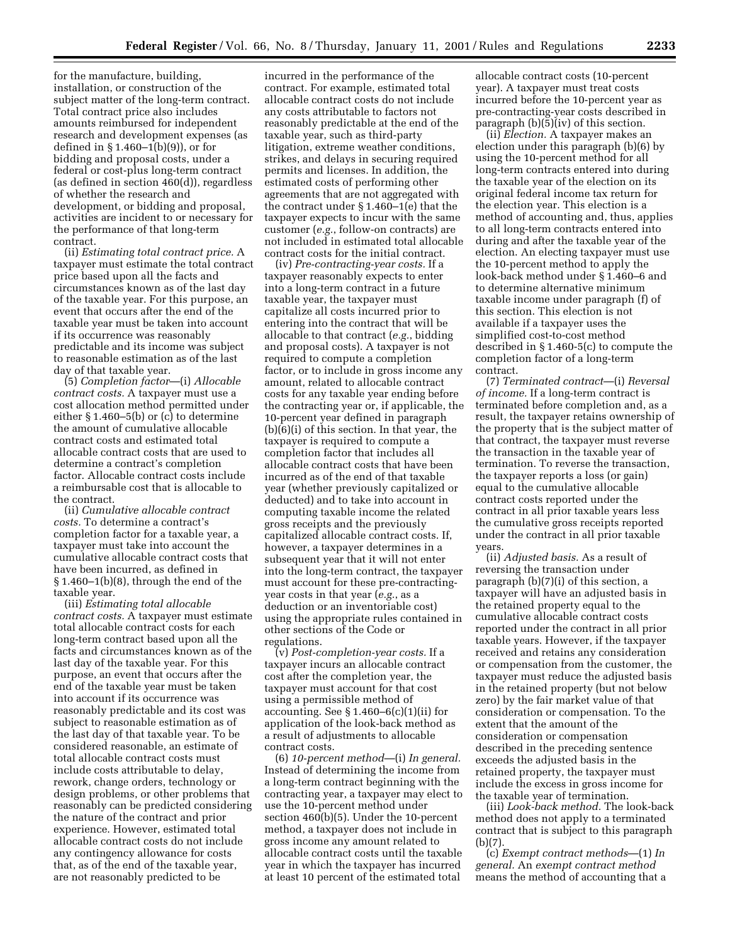for the manufacture, building, installation, or construction of the subject matter of the long-term contract. Total contract price also includes amounts reimbursed for independent research and development expenses (as defined in § 1.460–1(b)(9)), or for bidding and proposal costs, under a federal or cost-plus long-term contract (as defined in section 460(d)), regardless of whether the research and development, or bidding and proposal, activities are incident to or necessary for the performance of that long-term contract.

(ii) *Estimating total contract price.* A taxpayer must estimate the total contract price based upon all the facts and circumstances known as of the last day of the taxable year. For this purpose, an event that occurs after the end of the taxable year must be taken into account if its occurrence was reasonably predictable and its income was subject to reasonable estimation as of the last day of that taxable year.

(5) *Completion factor*—(i) *Allocable contract costs.* A taxpayer must use a cost allocation method permitted under either § 1.460–5(b) or (c) to determine the amount of cumulative allocable contract costs and estimated total allocable contract costs that are used to determine a contract's completion factor. Allocable contract costs include a reimbursable cost that is allocable to the contract.

(ii) *Cumulative allocable contract costs.* To determine a contract's completion factor for a taxable year, a taxpayer must take into account the cumulative allocable contract costs that have been incurred, as defined in § 1.460–1(b)(8), through the end of the taxable year.

(iii) *Estimating total allocable contract costs.* A taxpayer must estimate total allocable contract costs for each long-term contract based upon all the facts and circumstances known as of the last day of the taxable year. For this purpose, an event that occurs after the end of the taxable year must be taken into account if its occurrence was reasonably predictable and its cost was subject to reasonable estimation as of the last day of that taxable year. To be considered reasonable, an estimate of total allocable contract costs must include costs attributable to delay, rework, change orders, technology or design problems, or other problems that reasonably can be predicted considering the nature of the contract and prior experience. However, estimated total allocable contract costs do not include any contingency allowance for costs that, as of the end of the taxable year, are not reasonably predicted to be

incurred in the performance of the contract. For example, estimated total allocable contract costs do not include any costs attributable to factors not reasonably predictable at the end of the taxable year, such as third-party litigation, extreme weather conditions, strikes, and delays in securing required permits and licenses. In addition, the estimated costs of performing other agreements that are not aggregated with the contract under § 1.460–1(e) that the taxpayer expects to incur with the same customer (*e.g.*, follow-on contracts) are not included in estimated total allocable contract costs for the initial contract.

(iv) *Pre-contracting-year costs.* If a taxpayer reasonably expects to enter into a long-term contract in a future taxable year, the taxpayer must capitalize all costs incurred prior to entering into the contract that will be allocable to that contract (*e.g.*, bidding and proposal costs). A taxpayer is not required to compute a completion factor, or to include in gross income any amount, related to allocable contract costs for any taxable year ending before the contracting year or, if applicable, the 10-percent year defined in paragraph (b)(6)(i) of this section. In that year, the taxpayer is required to compute a completion factor that includes all allocable contract costs that have been incurred as of the end of that taxable year (whether previously capitalized or deducted) and to take into account in computing taxable income the related gross receipts and the previously capitalized allocable contract costs. If, however, a taxpayer determines in a subsequent year that it will not enter into the long-term contract, the taxpayer must account for these pre-contractingyear costs in that year (*e.g.*, as a deduction or an inventoriable cost) using the appropriate rules contained in other sections of the Code or regulations.

(v) *Post-completion-year costs.* If a taxpayer incurs an allocable contract cost after the completion year, the taxpayer must account for that cost using a permissible method of accounting. See  $\S 1.460 - 6(c)(1)(ii)$  for application of the look-back method as a result of adjustments to allocable contract costs.

(6) *10-percent method*—(i) *In general.* Instead of determining the income from a long-term contract beginning with the contracting year, a taxpayer may elect to use the 10-percent method under section 460(b)(5). Under the 10-percent method, a taxpayer does not include in gross income any amount related to allocable contract costs until the taxable year in which the taxpayer has incurred at least 10 percent of the estimated total

allocable contract costs (10-percent year). A taxpayer must treat costs incurred before the 10-percent year as pre-contracting-year costs described in paragraph  $(b)(\bar{5})(iv)$  of this section.

(ii) *Election.* A taxpayer makes an election under this paragraph (b)(6) by using the 10-percent method for all long-term contracts entered into during the taxable year of the election on its original federal income tax return for the election year. This election is a method of accounting and, thus, applies to all long-term contracts entered into during and after the taxable year of the election. An electing taxpayer must use the 10-percent method to apply the look-back method under § 1.460–6 and to determine alternative minimum taxable income under paragraph (f) of this section. This election is not available if a taxpayer uses the simplified cost-to-cost method described in § 1.460-5(c) to compute the completion factor of a long-term contract.

(7) *Terminated contract*—(i) *Reversal of income.* If a long-term contract is terminated before completion and, as a result, the taxpayer retains ownership of the property that is the subject matter of that contract, the taxpayer must reverse the transaction in the taxable year of termination. To reverse the transaction, the taxpayer reports a loss (or gain) equal to the cumulative allocable contract costs reported under the contract in all prior taxable years less the cumulative gross receipts reported under the contract in all prior taxable years.

(ii) *Adjusted basis.* As a result of reversing the transaction under paragraph (b)(7)(i) of this section, a taxpayer will have an adjusted basis in the retained property equal to the cumulative allocable contract costs reported under the contract in all prior taxable years. However, if the taxpayer received and retains any consideration or compensation from the customer, the taxpayer must reduce the adjusted basis in the retained property (but not below zero) by the fair market value of that consideration or compensation. To the extent that the amount of the consideration or compensation described in the preceding sentence exceeds the adjusted basis in the retained property, the taxpayer must include the excess in gross income for the taxable year of termination.

(iii) *Look-back method.* The look-back method does not apply to a terminated contract that is subject to this paragraph (b)(7).

(c) *Exempt contract methods*—(1) *In general.* An *exempt contract method* means the method of accounting that a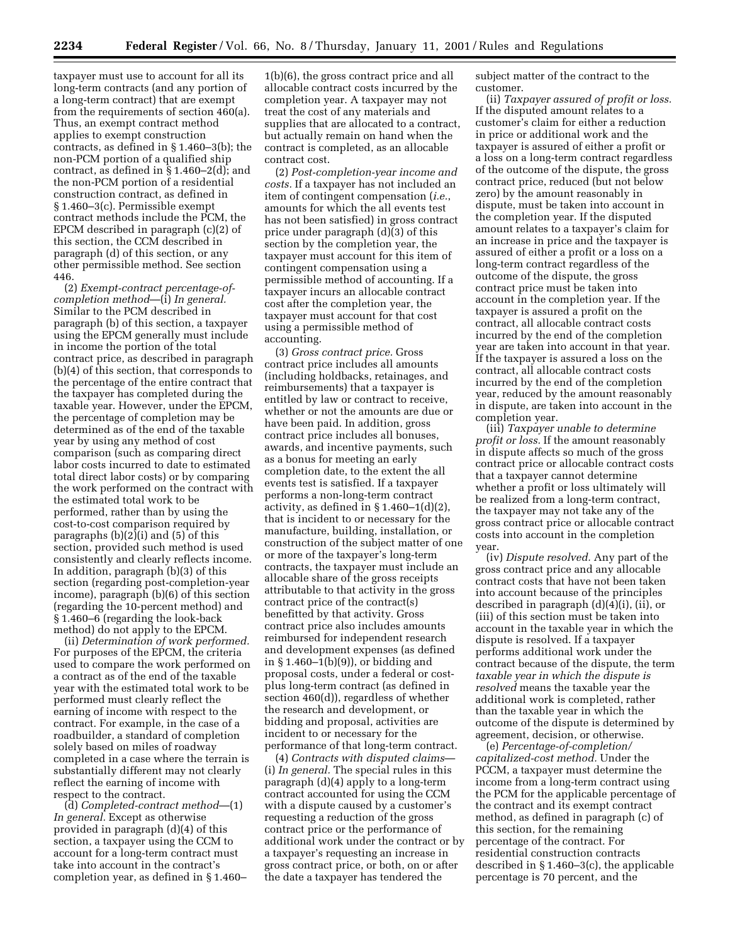taxpayer must use to account for all its long-term contracts (and any portion of a long-term contract) that are exempt from the requirements of section 460(a). Thus, an exempt contract method applies to exempt construction contracts, as defined in § 1.460–3(b); the non-PCM portion of a qualified ship contract, as defined in § 1.460–2(d); and the non-PCM portion of a residential construction contract, as defined in § 1.460–3(c). Permissible exempt contract methods include the PCM, the EPCM described in paragraph (c)(2) of this section, the CCM described in paragraph (d) of this section, or any other permissible method. See section 446.

(2) *Exempt-contract percentage-ofcompletion method*—(i) *In general.* Similar to the PCM described in paragraph (b) of this section, a taxpayer using the EPCM generally must include in income the portion of the total contract price, as described in paragraph (b)(4) of this section, that corresponds to the percentage of the entire contract that the taxpayer has completed during the taxable year. However, under the EPCM, the percentage of completion may be determined as of the end of the taxable year by using any method of cost comparison (such as comparing direct labor costs incurred to date to estimated total direct labor costs) or by comparing the work performed on the contract with the estimated total work to be performed, rather than by using the cost-to-cost comparison required by paragraphs (b)(2)(i) and (5) of this section, provided such method is used consistently and clearly reflects income. In addition, paragraph (b)(3) of this section (regarding post-completion-year income), paragraph (b)(6) of this section (regarding the 10-percent method) and § 1.460–6 (regarding the look-back method) do not apply to the EPCM.

(ii) *Determination of work performed.* For purposes of the EPCM, the criteria used to compare the work performed on a contract as of the end of the taxable year with the estimated total work to be performed must clearly reflect the earning of income with respect to the contract. For example, in the case of a roadbuilder, a standard of completion solely based on miles of roadway completed in a case where the terrain is substantially different may not clearly reflect the earning of income with respect to the contract.

(d) *Completed-contract method*—(1) *In general.* Except as otherwise provided in paragraph (d)(4) of this section, a taxpayer using the CCM to account for a long-term contract must take into account in the contract's completion year, as defined in § 1.460–

1(b)(6), the gross contract price and all allocable contract costs incurred by the completion year. A taxpayer may not treat the cost of any materials and supplies that are allocated to a contract, but actually remain on hand when the contract is completed, as an allocable contract cost.

(2) *Post-completion-year income and costs.* If a taxpayer has not included an item of contingent compensation (*i.e.*, amounts for which the all events test has not been satisfied) in gross contract price under paragraph (d)(3) of this section by the completion year, the taxpayer must account for this item of contingent compensation using a permissible method of accounting. If a taxpayer incurs an allocable contract cost after the completion year, the taxpayer must account for that cost using a permissible method of accounting.

(3) *Gross contract price.* Gross contract price includes all amounts (including holdbacks, retainages, and reimbursements) that a taxpayer is entitled by law or contract to receive, whether or not the amounts are due or have been paid. In addition, gross contract price includes all bonuses, awards, and incentive payments, such as a bonus for meeting an early completion date, to the extent the all events test is satisfied. If a taxpayer performs a non-long-term contract activity, as defined in  $\S 1.460-1(d)(2)$ , that is incident to or necessary for the manufacture, building, installation, or construction of the subject matter of one or more of the taxpayer's long-term contracts, the taxpayer must include an allocable share of the gross receipts attributable to that activity in the gross contract price of the contract(s) benefitted by that activity. Gross contract price also includes amounts reimbursed for independent research and development expenses (as defined in § 1.460–1(b)(9)), or bidding and proposal costs, under a federal or costplus long-term contract (as defined in section 460(d)), regardless of whether the research and development, or bidding and proposal, activities are incident to or necessary for the performance of that long-term contract.

(4) *Contracts with disputed claims*— (i) *In general.* The special rules in this paragraph (d)(4) apply to a long-term contract accounted for using the CCM with a dispute caused by a customer's requesting a reduction of the gross contract price or the performance of additional work under the contract or by a taxpayer's requesting an increase in gross contract price, or both, on or after the date a taxpayer has tendered the

subject matter of the contract to the customer.

(ii) *Taxpayer assured of profit or loss.* If the disputed amount relates to a customer's claim for either a reduction in price or additional work and the taxpayer is assured of either a profit or a loss on a long-term contract regardless of the outcome of the dispute, the gross contract price, reduced (but not below zero) by the amount reasonably in dispute, must be taken into account in the completion year. If the disputed amount relates to a taxpayer's claim for an increase in price and the taxpayer is assured of either a profit or a loss on a long-term contract regardless of the outcome of the dispute, the gross contract price must be taken into account in the completion year. If the taxpayer is assured a profit on the contract, all allocable contract costs incurred by the end of the completion year are taken into account in that year. If the taxpayer is assured a loss on the contract, all allocable contract costs incurred by the end of the completion year, reduced by the amount reasonably in dispute, are taken into account in the completion year.

(iii) *Taxpayer unable to determine profit or loss.* If the amount reasonably in dispute affects so much of the gross contract price or allocable contract costs that a taxpayer cannot determine whether a profit or loss ultimately will be realized from a long-term contract, the taxpayer may not take any of the gross contract price or allocable contract costs into account in the completion year.

(iv) *Dispute resolved.* Any part of the gross contract price and any allocable contract costs that have not been taken into account because of the principles described in paragraph (d)(4)(i), (ii), or (iii) of this section must be taken into account in the taxable year in which the dispute is resolved. If a taxpayer performs additional work under the contract because of the dispute, the term *taxable year in which the dispute is resolved* means the taxable year the additional work is completed, rather than the taxable year in which the outcome of the dispute is determined by agreement, decision, or otherwise.

(e) *Percentage-of-completion/ capitalized-cost method.* Under the PCCM, a taxpayer must determine the income from a long-term contract using the PCM for the applicable percentage of the contract and its exempt contract method, as defined in paragraph (c) of this section, for the remaining percentage of the contract. For residential construction contracts described in § 1.460–3(c), the applicable percentage is 70 percent, and the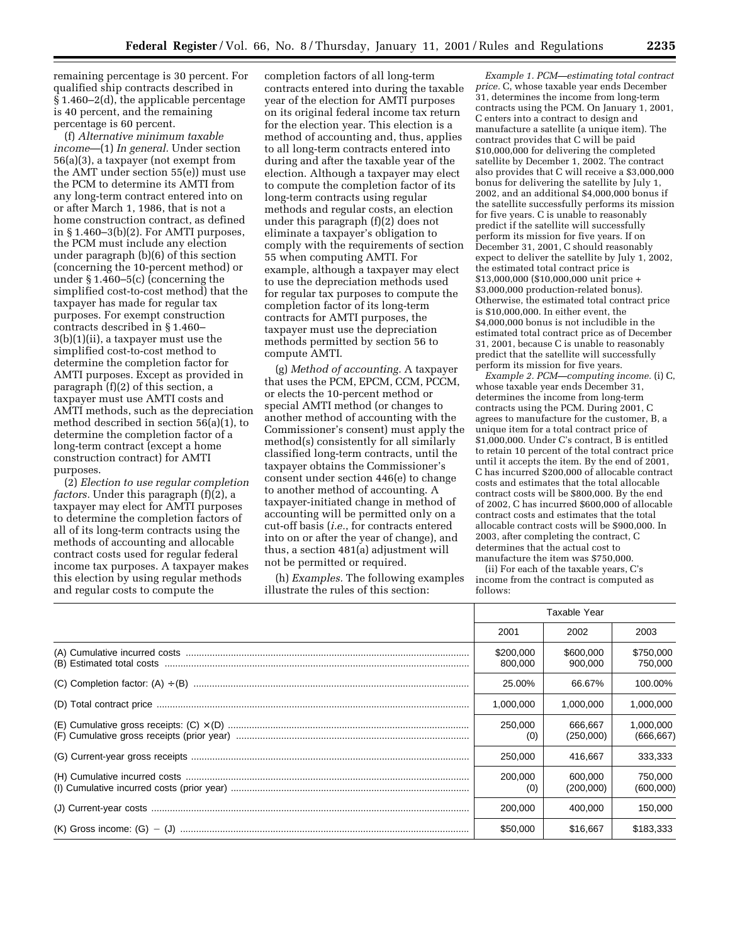remaining percentage is 30 percent. For qualified ship contracts described in § 1.460–2(d), the applicable percentage is 40 percent, and the remaining percentage is 60 percent.

(f) *Alternative minimum taxable income*—(1) *In general.* Under section 56(a)(3), a taxpayer (not exempt from the AMT under section 55(e)) must use the PCM to determine its AMTI from any long-term contract entered into on or after March 1, 1986, that is not a home construction contract, as defined in § 1.460–3(b)(2). For AMTI purposes, the PCM must include any election under paragraph (b)(6) of this section (concerning the 10-percent method) or under § 1.460–5(c) (concerning the simplified cost-to-cost method) that the taxpayer has made for regular tax purposes. For exempt construction contracts described in § 1.460– 3(b)(1)(ii), a taxpayer must use the simplified cost-to-cost method to determine the completion factor for AMTI purposes. Except as provided in paragraph (f)(2) of this section, a taxpayer must use AMTI costs and AMTI methods, such as the depreciation method described in section 56(a)(1), to determine the completion factor of a long-term contract (except a home construction contract) for AMTI purposes.

(2) *Election to use regular completion factors.* Under this paragraph (f)(2), a taxpayer may elect for AMTI purposes to determine the completion factors of all of its long-term contracts using the methods of accounting and allocable contract costs used for regular federal income tax purposes. A taxpayer makes this election by using regular methods and regular costs to compute the

completion factors of all long-term contracts entered into during the taxable year of the election for AMTI purposes on its original federal income tax return for the election year. This election is a method of accounting and, thus, applies to all long-term contracts entered into during and after the taxable year of the election. Although a taxpayer may elect to compute the completion factor of its long-term contracts using regular methods and regular costs, an election under this paragraph (f)(2) does not eliminate a taxpayer's obligation to comply with the requirements of section 55 when computing AMTI. For example, although a taxpayer may elect to use the depreciation methods used for regular tax purposes to compute the completion factor of its long-term contracts for AMTI purposes, the taxpayer must use the depreciation methods permitted by section 56 to compute AMTI.

(g) *Method of accounting.* A taxpayer that uses the PCM, EPCM, CCM, PCCM, or elects the 10-percent method or special AMTI method (or changes to another method of accounting with the Commissioner's consent) must apply the method(s) consistently for all similarly classified long-term contracts, until the taxpayer obtains the Commissioner's consent under section 446(e) to change to another method of accounting. A taxpayer-initiated change in method of accounting will be permitted only on a cut-off basis (*i.e.*, for contracts entered into on or after the year of change), and thus, a section 481(a) adjustment will not be permitted or required.

(h) *Examples.* The following examples illustrate the rules of this section:

*Example 1. PCM—estimating total contract price.* C, whose taxable year ends December 31, determines the income from long-term contracts using the PCM. On January 1, 2001, C enters into a contract to design and manufacture a satellite (a unique item). The contract provides that C will be paid \$10,000,000 for delivering the completed satellite by December 1, 2002. The contract also provides that C will receive a \$3,000,000 bonus for delivering the satellite by July 1, 2002, and an additional \$4,000,000 bonus if the satellite successfully performs its mission for five years. C is unable to reasonably predict if the satellite will successfully perform its mission for five years. If on December 31, 2001, C should reasonably expect to deliver the satellite by July 1, 2002, the estimated total contract price is \$13,000,000 (\$10,000,000 unit price + \$3,000,000 production-related bonus). Otherwise, the estimated total contract price is \$10,000,000. In either event, the \$4,000,000 bonus is not includible in the estimated total contract price as of December 31, 2001, because C is unable to reasonably predict that the satellite will successfully perform its mission for five years.

*Example 2. PCM—computing income.* (i) C, whose taxable year ends December 31, determines the income from long-term contracts using the PCM. During 2001, C agrees to manufacture for the customer, B, a unique item for a total contract price of \$1,000,000. Under C's contract, B is entitled to retain 10 percent of the total contract price until it accepts the item. By the end of 2001, C has incurred \$200,000 of allocable contract costs and estimates that the total allocable contract costs will be \$800,000. By the end of 2002, C has incurred \$600,000 of allocable contract costs and estimates that the total allocable contract costs will be \$900,000. In 2003, after completing the contract, C determines that the actual cost to manufacture the item was \$750,000.

(ii) For each of the taxable years, C's income from the contract is computed as follows:

| Taxable Year         |                      |                         |
|----------------------|----------------------|-------------------------|
| 2001                 | 2002                 | 2003                    |
| \$200,000<br>800,000 | \$600,000<br>900,000 | \$750,000<br>750,000    |
| 25.00%               | 66.67%               | 100.00%                 |
| 1,000,000            | 1,000,000            | 1,000,000               |
| 250,000<br>(0)       | 666.667<br>(250,000) | 1,000,000<br>(666, 667) |
| 250,000              | 416,667              | 333,333                 |
| 200,000<br>(0)       | 600.000<br>(200,000) | 750,000<br>(600,000)    |
| 200,000              | 400.000              | 150,000                 |
| \$50,000             | \$16,667             | \$183,333               |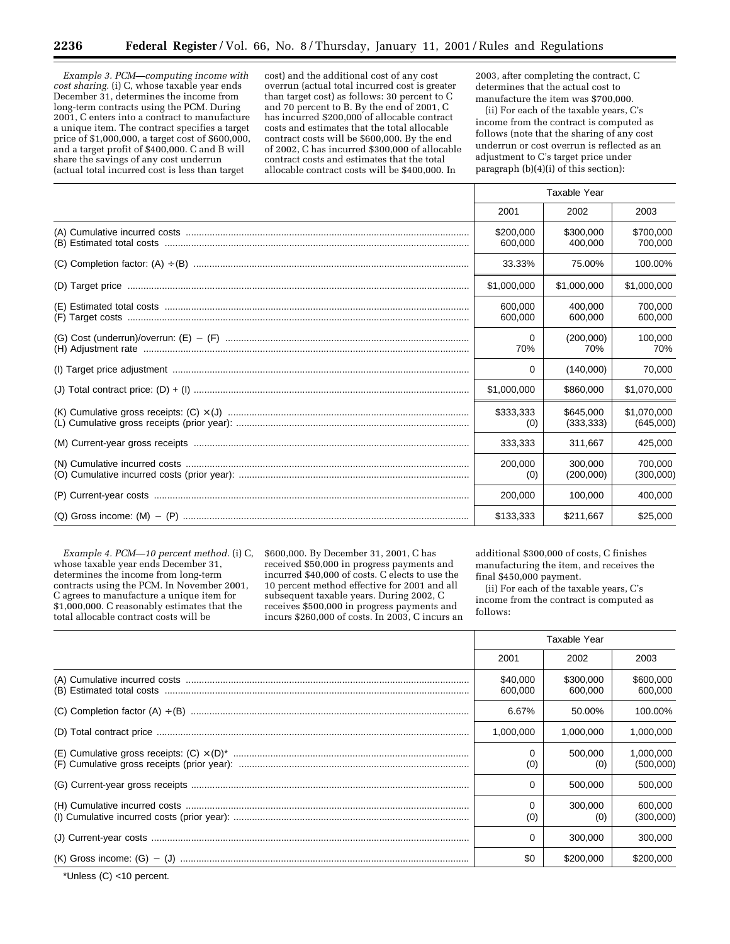*Example 3. PCM—computing income with cost sharing.* (i) C, whose taxable year ends December 31, determines the income from long-term contracts using the PCM. During 2001, C enters into a contract to manufacture a unique item. The contract specifies a target price of \$1,000,000, a target cost of \$600,000, and a target profit of \$400,000. C and B will share the savings of any cost underrun (actual total incurred cost is less than target

cost) and the additional cost of any cost overrun (actual total incurred cost is greater than target cost) as follows: 30 percent to C and 70 percent to B. By the end of 2001, C has incurred \$200,000 of allocable contract costs and estimates that the total allocable contract costs will be \$600,000. By the end of 2002, C has incurred \$300,000 of allocable contract costs and estimates that the total allocable contract costs will be \$400,000. In

2003, after completing the contract, C determines that the actual cost to manufacture the item was \$700,000.

(ii) For each of the taxable years, C's income from the contract is computed as follows (note that the sharing of any cost underrun or cost overrun is reflected as an adjustment to C's target price under paragraph (b)(4)(i) of this section):

| Taxable Year         |                         |                          |
|----------------------|-------------------------|--------------------------|
| 2001                 | 2002                    | 2003                     |
| \$200,000<br>600,000 | \$300,000<br>400.000    | \$700,000<br>700,000     |
| 33.33%               | 75.00%                  | 100.00%                  |
| \$1,000,000          | \$1,000,000             | \$1,000,000              |
| 600.000<br>600,000   | 400.000<br>600,000      | 700.000<br>600,000       |
| 0<br>70%             | (200.000)<br>70%        | 100.000<br>70%           |
| 0                    | (140,000)               | 70,000                   |
| \$1,000,000          | \$860,000               | \$1,070,000              |
| \$333,333<br>(0)     | \$645,000<br>(333, 333) | \$1.070.000<br>(645,000) |
| 333,333              | 311.667                 | 425,000                  |
| 200,000<br>(0)       | 300.000<br>(200,000)    | 700.000<br>(300,000)     |
| 200.000              | 100,000                 | 400.000                  |
| \$133.333            | \$211.667               | \$25,000                 |

*Example 4. PCM—10 percent method.* (i) C, whose taxable year ends December 31, determines the income from long-term contracts using the PCM. In November 2001, C agrees to manufacture a unique item for \$1,000,000. C reasonably estimates that the total allocable contract costs will be

\$600,000. By December 31, 2001, C has received \$50,000 in progress payments and incurred \$40,000 of costs. C elects to use the 10 percent method effective for 2001 and all subsequent taxable years. During 2002, C receives \$500,000 in progress payments and incurs \$260,000 of costs. In 2003, C incurs an additional \$300,000 of costs, C finishes manufacturing the item, and receives the final \$450,000 payment.

(ii) For each of the taxable years, C's income from the contract is computed as follows:

|                                                                                                                                                                                                                                                                                                                                                                                                                                                   | Taxable Year        |                      |                        |
|---------------------------------------------------------------------------------------------------------------------------------------------------------------------------------------------------------------------------------------------------------------------------------------------------------------------------------------------------------------------------------------------------------------------------------------------------|---------------------|----------------------|------------------------|
|                                                                                                                                                                                                                                                                                                                                                                                                                                                   | 2001                | 2002                 | 2003                   |
| $\begin{minipage}{.4\linewidth} (A) Cumulative incurred costs  \  \, \ldots \  \, \ldots \  \, \ldots \  \, \ldots \  \, \ldots \  \, \ldots \  \, \ldots \  \, \ldots \  \, \ldots \  \, \ldots \  \, \ldots \  \, \ldots \  \, \ldots \  \, \ldots \  \, \ldots \  \, \ldots \  \, \ldots \  \, \ldots \  \, \ldots \  \, \ldots \  \, \ldots \  \, \ldots \  \, \ldots \  \, \ldots \  \, \ldots \  \, \ldots \  \, \ldots \  \, \ldots \  \,$ | \$40,000<br>600,000 | \$300,000<br>600,000 | \$600,000<br>600,000   |
|                                                                                                                                                                                                                                                                                                                                                                                                                                                   | 6.67%               | 50.00%               | 100.00%                |
|                                                                                                                                                                                                                                                                                                                                                                                                                                                   | 1.000.000           | 1,000,000            | 1,000,000              |
|                                                                                                                                                                                                                                                                                                                                                                                                                                                   | 0<br>(0)            | 500.000<br>(0)       | 1,000,000<br>(500,000) |
|                                                                                                                                                                                                                                                                                                                                                                                                                                                   | 0                   | 500,000              | 500,000                |
|                                                                                                                                                                                                                                                                                                                                                                                                                                                   | 0<br>(0)            | 300,000<br>(0)       | 600.000<br>(300,000)   |
|                                                                                                                                                                                                                                                                                                                                                                                                                                                   | 0                   | 300,000              | 300,000                |
|                                                                                                                                                                                                                                                                                                                                                                                                                                                   | \$0                 | \$200,000            | \$200,000              |

\*Unless (C) <10 percent.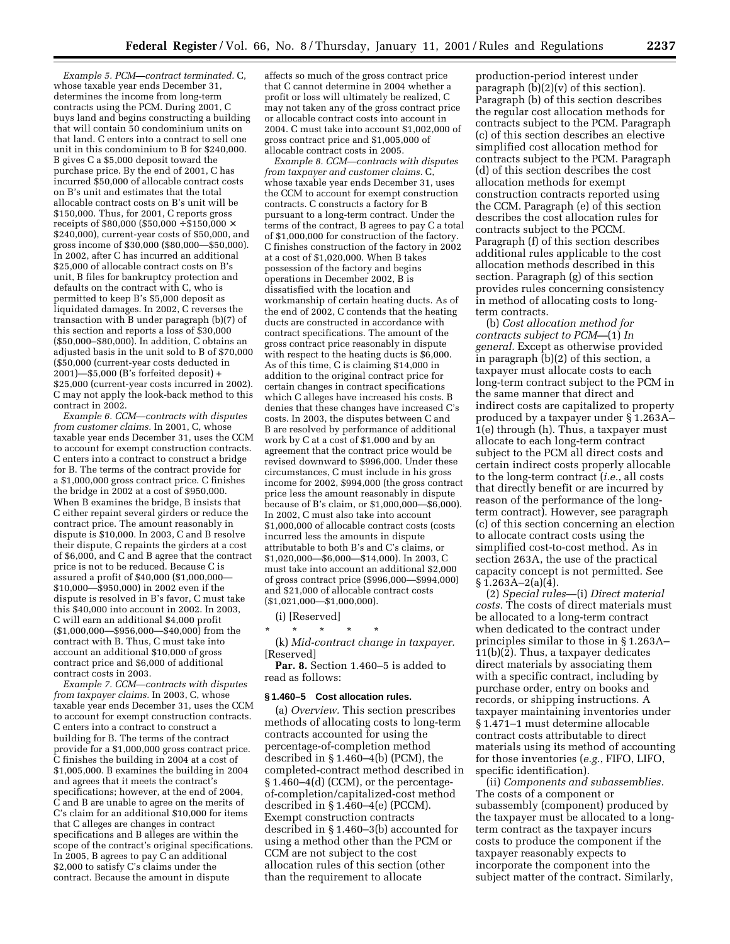*Example 5. PCM—contract terminated.* C, whose taxable year ends December 31, determines the income from long-term contracts using the PCM. During 2001, C buys land and begins constructing a building that will contain 50 condominium units on that land. C enters into a contract to sell one unit in this condominium to B for \$240,000. B gives C a \$5,000 deposit toward the purchase price. By the end of 2001, C has incurred \$50,000 of allocable contract costs on B's unit and estimates that the total allocable contract costs on B's unit will be \$150,000. Thus, for 2001, C reports gross receipts of \$80,000 (\$50,000  $\div$  \$150,000  $\times$ \$240,000), current-year costs of \$50,000, and gross income of \$30,000 (\$80,000—\$50,000). In 2002, after C has incurred an additional \$25,000 of allocable contract costs on B's unit, B files for bankruptcy protection and defaults on the contract with C, who is permitted to keep B's \$5,000 deposit as liquidated damages. In 2002, C reverses the transaction with B under paragraph (b)(7) of this section and reports a loss of \$30,000 (\$50,000–\$80,000). In addition, C obtains an adjusted basis in the unit sold to B of \$70,000 (\$50,000 (current-year costs deducted in 2001)—\$5,000 (B's forfeited deposit) + \$25,000 (current-year costs incurred in 2002). C may not apply the look-back method to this contract in 2002.

*Example 6. CCM—contracts with disputes from customer claims.* In 2001, C, whose taxable year ends December 31, uses the CCM to account for exempt construction contracts. C enters into a contract to construct a bridge for B. The terms of the contract provide for a \$1,000,000 gross contract price. C finishes the bridge in 2002 at a cost of \$950,000. When B examines the bridge, B insists that C either repaint several girders or reduce the contract price. The amount reasonably in dispute is \$10,000. In 2003, C and B resolve their dispute, C repaints the girders at a cost of \$6,000, and C and B agree that the contract price is not to be reduced. Because C is assured a profit of \$40,000 (\$1,000,000— \$10,000—\$950,000) in 2002 even if the dispute is resolved in B's favor, C must take this \$40,000 into account in 2002. In 2003, C will earn an additional \$4,000 profit (\$1,000,000—\$956,000—\$40,000) from the contract with B. Thus, C must take into account an additional \$10,000 of gross contract price and \$6,000 of additional contract costs in 2003.

*Example 7. CCM—contracts with disputes from taxpayer claims.* In 2003, C, whose taxable year ends December 31, uses the CCM to account for exempt construction contracts. C enters into a contract to construct a building for B. The terms of the contract provide for a \$1,000,000 gross contract price. C finishes the building in 2004 at a cost of \$1,005,000. B examines the building in 2004 and agrees that it meets the contract's specifications; however, at the end of 2004, C and B are unable to agree on the merits of C's claim for an additional \$10,000 for items that C alleges are changes in contract specifications and B alleges are within the scope of the contract's original specifications. In 2005, B agrees to pay C an additional \$2,000 to satisfy C's claims under the contract. Because the amount in dispute

affects so much of the gross contract price that C cannot determine in 2004 whether a profit or loss will ultimately be realized, C may not taken any of the gross contract price or allocable contract costs into account in 2004. C must take into account \$1,002,000 of gross contract price and \$1,005,000 of allocable contract costs in 2005.

*Example 8. CCM—contracts with disputes from taxpayer and customer claims.* C, whose taxable year ends December 31, uses the CCM to account for exempt construction contracts. C constructs a factory for B pursuant to a long-term contract. Under the terms of the contract, B agrees to pay C a total of \$1,000,000 for construction of the factory. C finishes construction of the factory in 2002 at a cost of \$1,020,000. When B takes possession of the factory and begins operations in December 2002, B is dissatisfied with the location and workmanship of certain heating ducts. As of the end of 2002, C contends that the heating ducts are constructed in accordance with contract specifications. The amount of the gross contract price reasonably in dispute with respect to the heating ducts is \$6,000. As of this time, C is claiming \$14,000 in addition to the original contract price for certain changes in contract specifications which C alleges have increased his costs. B denies that these changes have increased C's costs. In 2003, the disputes between C and B are resolved by performance of additional work by C at a cost of \$1,000 and by an agreement that the contract price would be revised downward to \$996,000. Under these circumstances, C must include in his gross income for 2002, \$994,000 (the gross contract price less the amount reasonably in dispute because of B's claim, or \$1,000,000—\$6,000). In 2002, C must also take into account \$1,000,000 of allocable contract costs (costs incurred less the amounts in dispute attributable to both B's and C's claims, or \$1,020,000—\$6,000—\$14,000). In 2003, C must take into account an additional \$2,000 of gross contract price (\$996,000—\$994,000) and \$21,000 of allocable contract costs (\$1,021,000—\$1,000,000).

(i) [Reserved]

\* \* \* \* \*

(k) *Mid-contract change in taxpayer.* [Reserved]

**Par. 8.** Section 1.460–5 is added to read as follows:

### **§ 1.460–5 Cost allocation rules.**

(a) *Overview.* This section prescribes methods of allocating costs to long-term contracts accounted for using the percentage-of-completion method described in § 1.460–4(b) (PCM), the completed-contract method described in § 1.460–4(d) (CCM), or the percentageof-completion/capitalized-cost method described in § 1.460–4(e) (PCCM). Exempt construction contracts described in § 1.460–3(b) accounted for using a method other than the PCM or CCM are not subject to the cost allocation rules of this section (other than the requirement to allocate

production-period interest under paragraph  $(b)(2)(v)$  of this section). Paragraph (b) of this section describes the regular cost allocation methods for contracts subject to the PCM. Paragraph (c) of this section describes an elective simplified cost allocation method for contracts subject to the PCM. Paragraph (d) of this section describes the cost allocation methods for exempt construction contracts reported using the CCM. Paragraph (e) of this section describes the cost allocation rules for contracts subject to the PCCM. Paragraph (f) of this section describes additional rules applicable to the cost allocation methods described in this section. Paragraph (g) of this section provides rules concerning consistency in method of allocating costs to longterm contracts.

(b) *Cost allocation method for contracts subject to PCM—*(1) *In general.* Except as otherwise provided in paragraph (b)(2) of this section, a taxpayer must allocate costs to each long-term contract subject to the PCM in the same manner that direct and indirect costs are capitalized to property produced by a taxpayer under § 1.263A– 1(e) through (h). Thus, a taxpayer must allocate to each long-term contract subject to the PCM all direct costs and certain indirect costs properly allocable to the long-term contract (*i.e.*, all costs that directly benefit or are incurred by reason of the performance of the longterm contract). However, see paragraph (c) of this section concerning an election to allocate contract costs using the simplified cost-to-cost method. As in section 263A, the use of the practical capacity concept is not permitted. See  $§ 1.263A - 2(a)(4).$ 

(2) *Special rules*—(i) *Direct material costs.* The costs of direct materials must be allocated to a long-term contract when dedicated to the contract under principles similar to those in § 1.263A– 11(b)(2). Thus, a taxpayer dedicates direct materials by associating them with a specific contract, including by purchase order, entry on books and records, or shipping instructions. A taxpayer maintaining inventories under § 1.471–1 must determine allocable contract costs attributable to direct materials using its method of accounting for those inventories (*e.g.*, FIFO, LIFO, specific identification).

(ii) *Components and subassemblies.* The costs of a component or subassembly (component) produced by the taxpayer must be allocated to a longterm contract as the taxpayer incurs costs to produce the component if the taxpayer reasonably expects to incorporate the component into the subject matter of the contract. Similarly,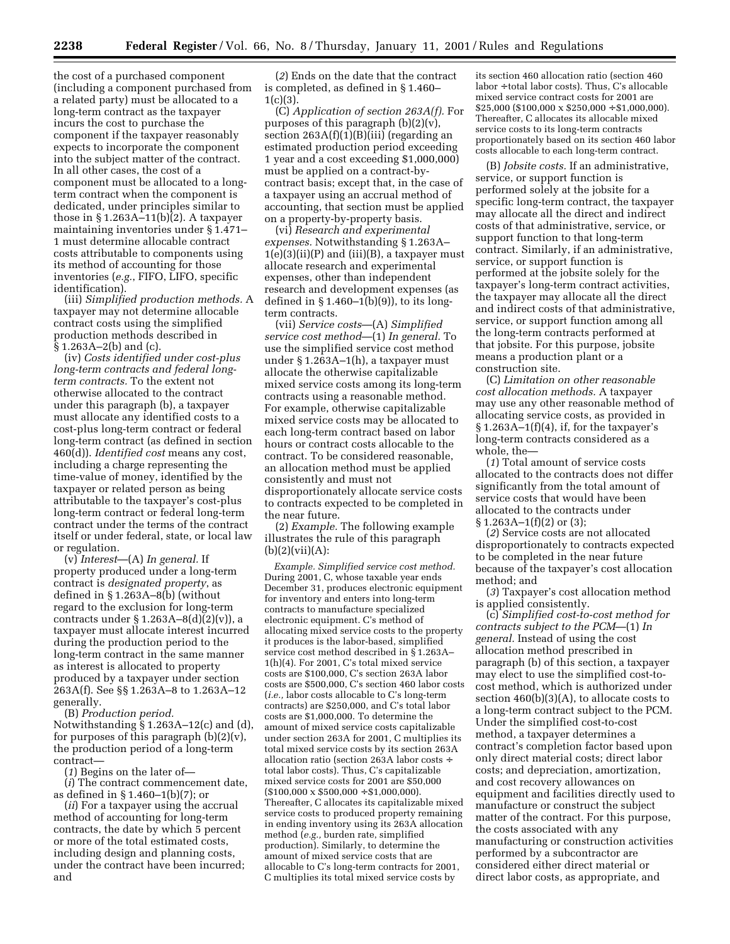the cost of a purchased component (including a component purchased from a related party) must be allocated to a long-term contract as the taxpayer incurs the cost to purchase the component if the taxpayer reasonably expects to incorporate the component into the subject matter of the contract. In all other cases, the cost of a component must be allocated to a longterm contract when the component is dedicated, under principles similar to those in § 1.263A–11(b)(2). A taxpayer maintaining inventories under § 1.471– 1 must determine allocable contract costs attributable to components using its method of accounting for those inventories (*e.g.*, FIFO, LIFO, specific identification).

(iii) *Simplified production methods.* A taxpayer may not determine allocable contract costs using the simplified production methods described in § 1.263A–2(b) and (c).

(iv) *Costs identified under cost-plus long-term contracts and federal longterm contracts.* To the extent not otherwise allocated to the contract under this paragraph (b), a taxpayer must allocate any identified costs to a cost-plus long-term contract or federal long-term contract (as defined in section 460(d)). *Identified cost* means any cost, including a charge representing the time-value of money, identified by the taxpayer or related person as being attributable to the taxpayer's cost-plus long-term contract or federal long-term contract under the terms of the contract itself or under federal, state, or local law or regulation.

(v) *Interest*—(A) *In general.* If property produced under a long-term contract is *designated property*, as defined in § 1.263A–8(b) (without regard to the exclusion for long-term contracts under § 1.263A–8(d)(2)(v)), a taxpayer must allocate interest incurred during the production period to the long-term contract in the same manner as interest is allocated to property produced by a taxpayer under section 263A(f). See §§ 1.263A–8 to 1.263A–12 generally.

(B) *Production period.* Notwithstanding § 1.263A–12(c) and (d), for purposes of this paragraph (b)(2)(v), the production period of a long-term contract—

(*1*) Begins on the later of—

(*i*) The contract commencement date, as defined in § 1.460–1(b)(7); or

(*ii*) For a taxpayer using the accrual method of accounting for long-term contracts, the date by which 5 percent or more of the total estimated costs, including design and planning costs, under the contract have been incurred; and

(*2*) Ends on the date that the contract is completed, as defined in § 1.460–  $1(c)(3)$ .

(C) *Application of section 263A(f).* For purposes of this paragraph (b)(2)(v), section 263A(f)(1)(B)(iii) (regarding an estimated production period exceeding 1 year and a cost exceeding \$1,000,000) must be applied on a contract-bycontract basis; except that, in the case of a taxpayer using an accrual method of accounting, that section must be applied on a property-by-property basis.

(vi) *Research and experimental expenses.* Notwithstanding § 1.263A–  $1(e)(3)(ii)(P)$  and  $(iii)(B)$ , a taxpayer must allocate research and experimental expenses, other than independent research and development expenses (as defined in  $\S 1.460-1(b)(9)$ , to its longterm contracts.

(vii) *Service costs*—(A) *Simplified service cost method*—(1) *In general.* To use the simplified service cost method under § 1.263A–1(h), a taxpayer must allocate the otherwise capitalizable mixed service costs among its long-term contracts using a reasonable method. For example, otherwise capitalizable mixed service costs may be allocated to each long-term contract based on labor hours or contract costs allocable to the contract. To be considered reasonable, an allocation method must be applied consistently and must not disproportionately allocate service costs to contracts expected to be completed in the near future.

(2) *Example.* The following example illustrates the rule of this paragraph  $(b)(2)(vii)(A):$ 

*Example. Simplified service cost method.* During 2001, C, whose taxable year ends December 31, produces electronic equipment for inventory and enters into long-term contracts to manufacture specialized electronic equipment. C's method of allocating mixed service costs to the property it produces is the labor-based, simplified service cost method described in § 1.263A– 1(h)(4). For 2001, C's total mixed service costs are \$100,000, C's section 263A labor costs are \$500,000, C's section 460 labor costs (*i.e.,* labor costs allocable to C's long-term contracts) are \$250,000, and C's total labor costs are \$1,000,000. To determine the amount of mixed service costs capitalizable under section 263A for 2001, C multiplies its total mixed service costs by its section 263A allocation ratio (section 263A labor costs ÷ total labor costs). Thus, C's capitalizable mixed service costs for 2001 are \$50,000  $($100,000 \times $500,000 \div $1,000,000)$ . Thereafter, C allocates its capitalizable mixed service costs to produced property remaining in ending inventory using its 263A allocation method (*e.g.,* burden rate, simplified production). Similarly, to determine the amount of mixed service costs that are allocable to C's long-term contracts for 2001, C multiplies its total mixed service costs by

its section 460 allocation ratio (section 460 labor ÷ total labor costs). Thus, C's allocable mixed service contract costs for 2001 are  $$25,000$  (\$100,000 x \$250,000 ÷ \$1,000,000). Thereafter, C allocates its allocable mixed service costs to its long-term contracts proportionately based on its section 460 labor costs allocable to each long-term contract.

(B) *Jobsite costs.* If an administrative, service, or support function is performed solely at the jobsite for a specific long-term contract, the taxpayer may allocate all the direct and indirect costs of that administrative, service, or support function to that long-term contract. Similarly, if an administrative, service, or support function is performed at the jobsite solely for the taxpayer's long-term contract activities, the taxpayer may allocate all the direct and indirect costs of that administrative, service, or support function among all the long-term contracts performed at that jobsite. For this purpose, jobsite means a production plant or a construction site.

(C) *Limitation on other reasonable cost allocation methods.* A taxpayer may use any other reasonable method of allocating service costs, as provided in  $§ 1.263A-1(f)(4)$ , if, for the taxpayer's long-term contracts considered as a whole, the—

(*1*) Total amount of service costs allocated to the contracts does not differ significantly from the total amount of service costs that would have been allocated to the contracts under § 1.263A–1(f)(2) or (3);

(*2*) Service costs are not allocated disproportionately to contracts expected to be completed in the near future because of the taxpayer's cost allocation method; and

(*3*) Taxpayer's cost allocation method is applied consistently.

(c) *Simplified cost-to-cost method for contracts subject to the PCM*—(1) *In general.* Instead of using the cost allocation method prescribed in paragraph (b) of this section, a taxpayer may elect to use the simplified cost-tocost method, which is authorized under section 460(b)(3)(A), to allocate costs to a long-term contract subject to the PCM. Under the simplified cost-to-cost method, a taxpayer determines a contract's completion factor based upon only direct material costs; direct labor costs; and depreciation, amortization, and cost recovery allowances on equipment and facilities directly used to manufacture or construct the subject matter of the contract. For this purpose, the costs associated with any manufacturing or construction activities performed by a subcontractor are considered either direct material or direct labor costs, as appropriate, and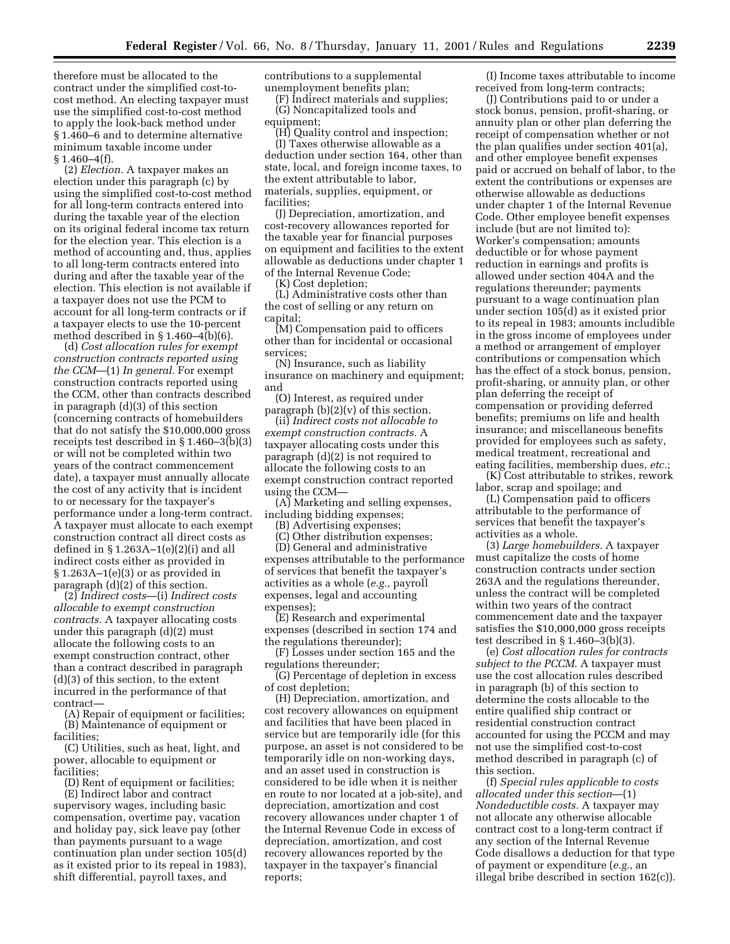therefore must be allocated to the contract under the simplified cost-tocost method. An electing taxpayer must use the simplified cost-to-cost method to apply the look-back method under § 1.460–6 and to determine alternative minimum taxable income under  $§ 1.460 - 4(f).$ 

(2) *Election.* A taxpayer makes an election under this paragraph (c) by using the simplified cost-to-cost method for all long-term contracts entered into during the taxable year of the election on its original federal income tax return for the election year. This election is a method of accounting and, thus, applies to all long-term contracts entered into during and after the taxable year of the election. This election is not available if a taxpayer does not use the PCM to account for all long-term contracts or if a taxpayer elects to use the 10-percent method described in § 1.460–4(b)(6).

(d) *Cost allocation rules for exempt construction contracts reported using the CCM*—(1) *In general.* For exempt construction contracts reported using the CCM, other than contracts described in paragraph (d)(3) of this section (concerning contracts of homebuilders that do not satisfy the \$10,000,000 gross receipts test described in § 1.460–3(b)(3) or will not be completed within two years of the contract commencement date), a taxpayer must annually allocate the cost of any activity that is incident to or necessary for the taxpayer's performance under a long-term contract. A taxpayer must allocate to each exempt construction contract all direct costs as defined in  $\S 1.263A-1(e)(2)(i)$  and all indirect costs either as provided in § 1.263A–1(e)(3) or as provided in paragraph (d)(2) of this section.

(2) *Indirect costs*—(i) *Indirect costs allocable to exempt construction contracts.* A taxpayer allocating costs under this paragraph (d)(2) must allocate the following costs to an exempt construction contract, other than a contract described in paragraph (d)(3) of this section, to the extent incurred in the performance of that contract—

(A) Repair of equipment or facilities; (B) Maintenance of equipment or facilities;

(C) Utilities, such as heat, light, and power, allocable to equipment or facilities;

(D) Rent of equipment or facilities;

(E) Indirect labor and contract supervisory wages, including basic compensation, overtime pay, vacation and holiday pay, sick leave pay (other than payments pursuant to a wage continuation plan under section 105(d) as it existed prior to its repeal in 1983), shift differential, payroll taxes, and

contributions to a supplemental unemployment benefits plan;

(F) Indirect materials and supplies; (G) Noncapitalized tools and equipment;

(H) Quality control and inspection; (I) Taxes otherwise allowable as a deduction under section 164, other than state, local, and foreign income taxes, to the extent attributable to labor, materials, supplies, equipment, or facilities;

(J) Depreciation, amortization, and cost-recovery allowances reported for the taxable year for financial purposes on equipment and facilities to the extent allowable as deductions under chapter 1 of the Internal Revenue Code;

(K) Cost depletion;

(L) Administrative costs other than the cost of selling or any return on capital;

(M) Compensation paid to officers other than for incidental or occasional services;

(N) Insurance, such as liability insurance on machinery and equipment; and

(O) Interest, as required under paragraph  $(b)(2)(v)$  of this section.

(ii) *Indirect costs not allocable to exempt construction contracts.* A taxpayer allocating costs under this paragraph (d)(2) is not required to allocate the following costs to an exempt construction contract reported using the CCM—

(A) Marketing and selling expenses, including bidding expenses;

(B) Advertising expenses;

(C) Other distribution expenses;

(D) General and administrative expenses attributable to the performance of services that benefit the taxpayer's activities as a whole (*e.g.,* payroll expenses, legal and accounting expenses);

(E) Research and experimental expenses (described in section 174 and the regulations thereunder);

(F) Losses under section 165 and the regulations thereunder;

(G) Percentage of depletion in excess of cost depletion;

(H) Depreciation, amortization, and cost recovery allowances on equipment and facilities that have been placed in service but are temporarily idle (for this purpose, an asset is not considered to be temporarily idle on non-working days, and an asset used in construction is considered to be idle when it is neither en route to nor located at a job-site), and depreciation, amortization and cost recovery allowances under chapter 1 of the Internal Revenue Code in excess of depreciation, amortization, and cost recovery allowances reported by the taxpayer in the taxpayer's financial reports;

(I) Income taxes attributable to income received from long-term contracts;

(J) Contributions paid to or under a stock bonus, pension, profit-sharing, or annuity plan or other plan deferring the receipt of compensation whether or not the plan qualifies under section 401(a), and other employee benefit expenses paid or accrued on behalf of labor, to the extent the contributions or expenses are otherwise allowable as deductions under chapter 1 of the Internal Revenue Code. Other employee benefit expenses include (but are not limited to): Worker's compensation; amounts deductible or for whose payment reduction in earnings and profits is allowed under section 404A and the regulations thereunder; payments pursuant to a wage continuation plan under section 105(d) as it existed prior to its repeal in 1983; amounts includible in the gross income of employees under a method or arrangement of employer contributions or compensation which has the effect of a stock bonus, pension, profit-sharing, or annuity plan, or other plan deferring the receipt of compensation or providing deferred benefits; premiums on life and health insurance; and miscellaneous benefits provided for employees such as safety, medical treatment, recreational and eating facilities, membership dues, *etc.*;

(K) Cost attributable to strikes, rework labor, scrap and spoilage; and

(L) Compensation paid to officers attributable to the performance of services that benefit the taxpayer's activities as a whole.

(3) *Large homebuilders.* A taxpayer must capitalize the costs of home construction contracts under section 263A and the regulations thereunder, unless the contract will be completed within two years of the contract commencement date and the taxpayer satisfies the \$10,000,000 gross receipts test described in § 1.460–3(b)(3).

(e) *Cost allocation rules for contracts subject to the PCCM.* A taxpayer must use the cost allocation rules described in paragraph (b) of this section to determine the costs allocable to the entire qualified ship contract or residential construction contract accounted for using the PCCM and may not use the simplified cost-to-cost method described in paragraph (c) of this section.

(f) *Special rules applicable to costs allocated under this section*—(1) *Nondeductible costs.* A taxpayer may not allocate any otherwise allocable contract cost to a long-term contract if any section of the Internal Revenue Code disallows a deduction for that type of payment or expenditure (*e.g.,* an illegal bribe described in section 162(c)).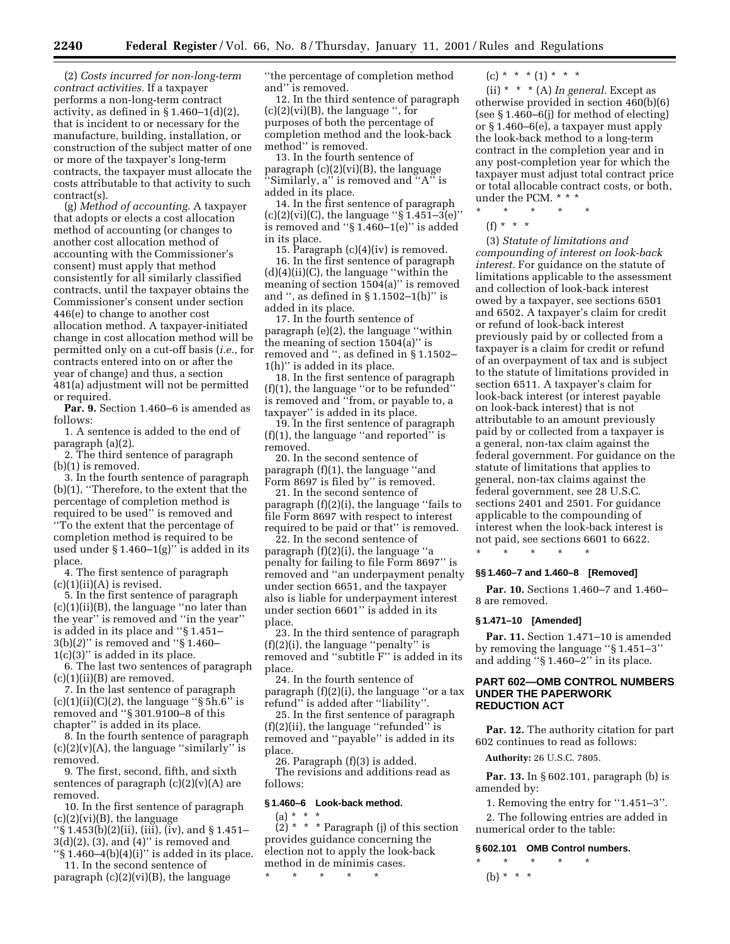(2) *Costs incurred for non-long-term contract activities.* If a taxpayer performs a non-long-term contract activity, as defined in  $\S 1.460-1(d)(2)$ , that is incident to or necessary for the manufacture, building, installation, or construction of the subject matter of one or more of the taxpayer's long-term contracts, the taxpayer must allocate the costs attributable to that activity to such contract(s).

(g) *Method of accounting.* A taxpayer that adopts or elects a cost allocation method of accounting (or changes to another cost allocation method of accounting with the Commissioner's consent) must apply that method consistently for all similarly classified contracts, until the taxpayer obtains the Commissioner's consent under section 446(e) to change to another cost allocation method. A taxpayer-initiated change in cost allocation method will be permitted only on a cut-off basis (*i.e.,* for contracts entered into on or after the year of change) and thus, a section 481(a) adjustment will not be permitted or required.

**Par. 9.** Section 1.460–6 is amended as follows:

1. A sentence is added to the end of paragraph (a)(2). 2. The third sentence of paragraph

(b)(1) is removed.

3. In the fourth sentence of paragraph (b)(1), ''Therefore, to the extent that the percentage of completion method is required to be used'' is removed and ''To the extent that the percentage of completion method is required to be used under  $§ 1.460-1(g)$ " is added in its place.

4. The first sentence of paragraph  $(c)(1)(ii)(A)$  is revised.

5. In the first sentence of paragraph  $(c)(1)(ii)(B)$ , the language "no later than the year'' is removed and ''in the year'' is added in its place and ''§ 1.451– 3(b)(*2*)'' is removed and ''§ 1.460–  $1(c)(3)$ " is added in its place.

6. The last two sentences of paragraph  $(c)(1)(ii)(B)$  are removed.

7. In the last sentence of paragraph (c)(1)(ii)(C)(*2*), the language ''§ 5h.6'' is removed and ''§ 301.9100–8 of this chapter'' is added in its place.

8. In the fourth sentence of paragraph  $(c)(2)(v)(A)$ , the language "similarly" is removed.

9. The first, second, fifth, and sixth sentences of paragraph  $(c)(2)(v)(A)$  are removed.

10. In the first sentence of paragraph  $(c)(2)(vi)(B)$ , the language

 $\frac{1}{5}$  1.453(b)(2)(ii), (iii), (iv), and § 1.451– 3(d)(2), (3), and (4)'' is removed and ''§ 1.460–4(b)(4)(i)'' is added in its place.

11. In the second sentence of paragraph  $(c)(2)(vi)(B)$ , the language ''the percentage of completion method and'' is removed.

12. In the third sentence of paragraph  $(c)(2)(vi)(B)$ , the language ", for purposes of both the percentage of completion method and the look-back method'' is removed.

13. In the fourth sentence of paragraph (c)(2)(vi)(B), the language ''Similarly, a'' is removed and ''A'' is added in its place.

14. In the first sentence of paragraph (c)(2)(vi)(C), the language " $\S 1.451-3(e)$ " is removed and ''§ 1.460–1(e)'' is added in its place.

15. Paragraph (c)(4)(iv) is removed.

16. In the first sentence of paragraph (d)(4)(ii)(C), the language ''within the meaning of section 1504(a)'' is removed and ", as defined in  $\S 1.1502-1(h)$ " is added in its place.

17. In the fourth sentence of paragraph (e)(2), the language ''within the meaning of section  $1504(a)$ " is removed and '', as defined in § 1.1502– 1(h)'' is added in its place.

18. In the first sentence of paragraph (f)(1), the language ''or to be refunded'' is removed and ''from, or payable to, a taxpayer'' is added in its place.

19. In the first sentence of paragraph (f)(1), the language ''and reported'' is removed.

20. In the second sentence of paragraph (f)(1), the language ''and Form 8697 is filed by'' is removed.

21. In the second sentence of paragraph (f)(2)(i), the language ''fails to file Form 8697 with respect to interest required to be paid or that'' is removed.

22. In the second sentence of paragraph (f)(2)(i), the language ''a penalty for failing to file Form 8697'' is removed and ''an underpayment penalty under section 6651, and the taxpayer also is liable for underpayment interest under section 6601'' is added in its place.

23. In the third sentence of paragraph  $(f)(2)(i)$ , the language "penalty" is removed and ''subtitle F'' is added in its place.

24. In the fourth sentence of paragraph  $(f)(2)(i)$ , the language "or a tax refund" is added after "liability".

25. In the first sentence of paragraph  $(f)(2)(ii)$ , the language "refunded" is removed and ''payable'' is added in its place.

26. Paragraph (f)(3) is added. The revisions and additions read as follows:

# **§ 1.460–6 Look-back method.**

 $(a) * * * *$ 

 $(2)$  \* \* \* Paragraph (j) of this section provides guidance concerning the election not to apply the look-back method in de minimis cases.

\* \* \* \* \*

 $(c) * * * (1) * * * *$ 

(ii) \* \* \* (A) *In general.* Except as otherwise provided in section 460(b)(6) (see § 1.460–6(j) for method of electing) or § 1.460–6(e), a taxpayer must apply the look-back method to a long-term contract in the completion year and in any post-completion year for which the taxpayer must adjust total contract price or total allocable contract costs, or both, under the PCM. \* \* \*

 $\star$   $\qquad$   $\star$   $\qquad$   $\star$ 

(f) \* \* \* \*

(3) *Statute of limitations and compounding of interest on look-back interest.* For guidance on the statute of limitations applicable to the assessment and collection of look-back interest owed by a taxpayer, see sections 6501 and 6502. A taxpayer's claim for credit or refund of look-back interest previously paid by or collected from a taxpayer is a claim for credit or refund of an overpayment of tax and is subject to the statute of limitations provided in section 6511. A taxpayer's claim for look-back interest (or interest payable on look-back interest) that is not attributable to an amount previously paid by or collected from a taxpayer is a general, non-tax claim against the federal government. For guidance on the statute of limitations that applies to general, non-tax claims against the federal government, see 28 U.S.C. sections 2401 and 2501. For guidance applicable to the compounding of interest when the look-back interest is not paid, see sections 6601 to 6622.

#### **§§ 1.460–7 and 1.460–8 [Removed]**

**Par. 10.** Sections 1.460–7 and 1.460– 8 are removed.

### **§ 1.471–10 [Amended]**

\* \* \* \* \*

**Par. 11.** Section 1.471–10 is amended by removing the language ''§ 1.451–3'' and adding ''§ 1.460–2'' in its place.

# **PART 602—OMB CONTROL NUMBERS UNDER THE PAPERWORK REDUCTION ACT**

**Par. 12.** The authority citation for part 602 continues to read as follows:

**Authority:** 26 U.S.C. 7805.

**Par. 13.** In § 602.101, paragraph (b) is amended by:

1. Removing the entry for ''1.451–3''.

2. The following entries are added in numerical order to the table:

#### **§ 602.101 OMB Control numbers.**

\* \* \* \* \* (b) \* \* \*